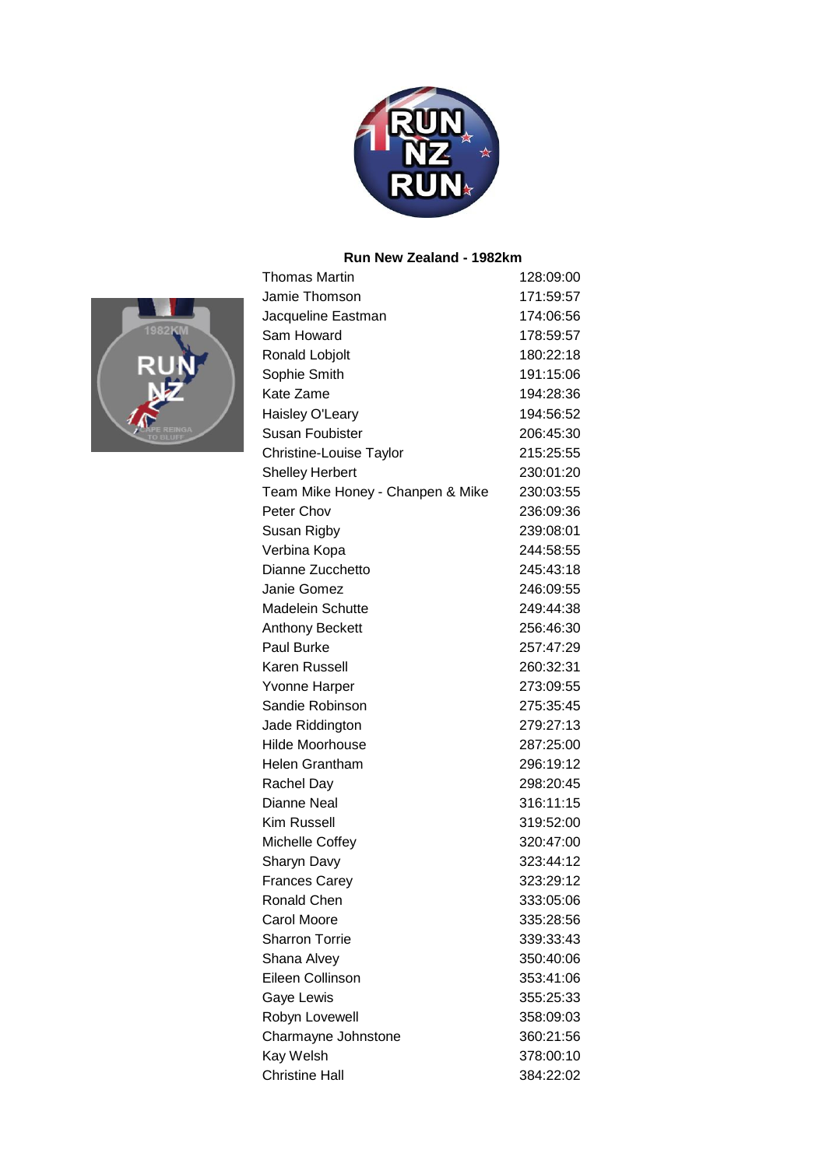

### **Run New Zealand - 1982km**



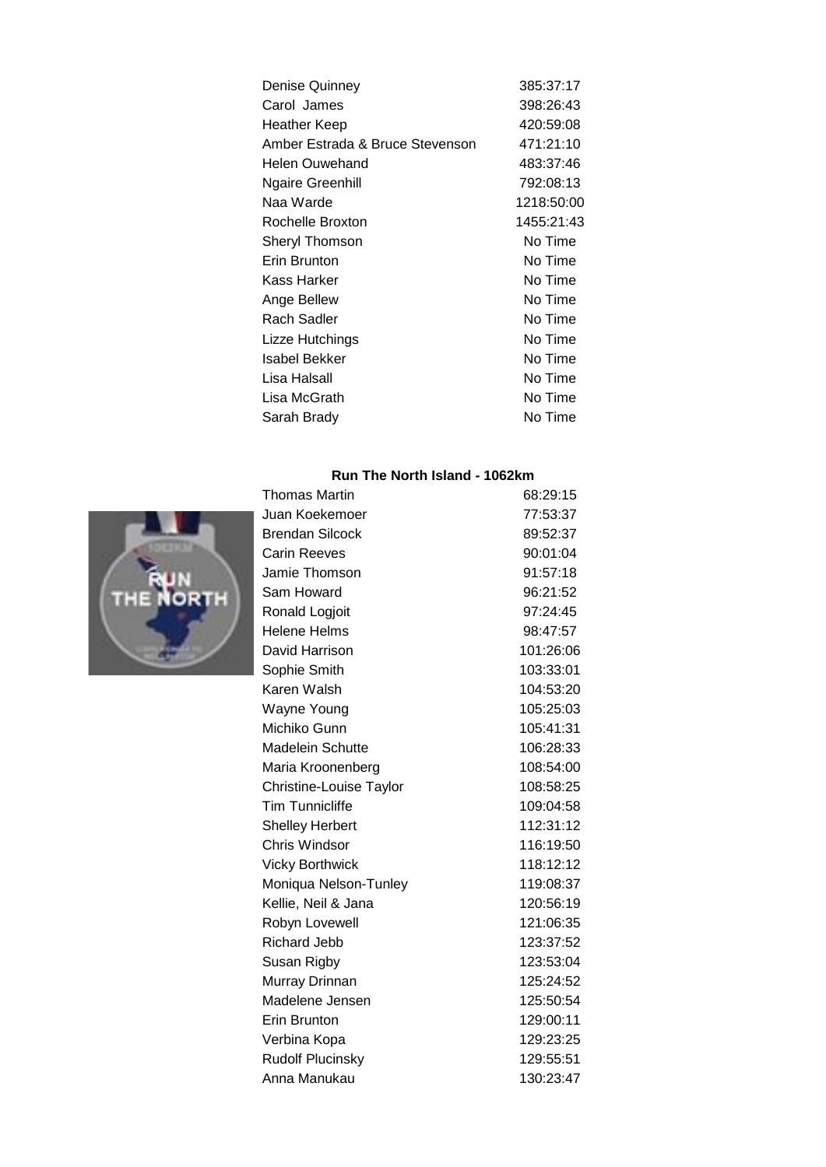| Denise Quinney                  | 385:37:17  |
|---------------------------------|------------|
| Carol James                     | 398:26:43  |
| Heather Keep                    | 420:59:08  |
| Amber Estrada & Bruce Stevenson | 471:21:10  |
| Helen Ouwehand                  | 483:37:46  |
| <b>Ngaire Greenhill</b>         | 792:08:13  |
| Naa Warde                       | 1218:50:00 |
| Rochelle Broxton                | 1455:21:43 |
| Sheryl Thomson                  | No Time    |
| Erin Brunton                    | No Time    |
| Kass Harker                     | No Time    |
| Ange Bellew                     | No Time    |
| Rach Sadler                     | No Time    |
| Lizze Hutchings                 | No Time    |
| Isabel Bekker                   | No Time    |
| Lisa Halsall                    | No Time    |
| Lisa McGrath                    | No Time    |
| Sarah Brady                     | No Time    |
|                                 |            |

### **Run The North Island - 1062km**



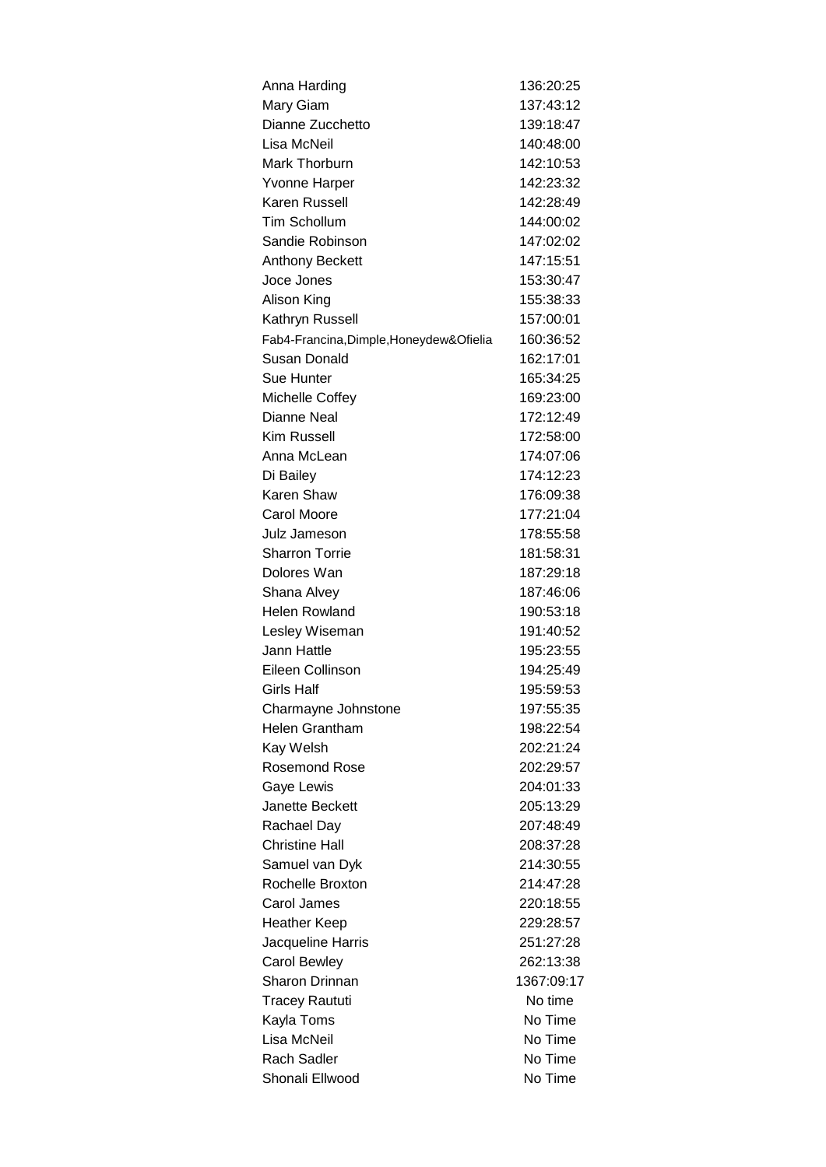| Anna Harding                             | 136:20:25  |
|------------------------------------------|------------|
| Mary Giam                                | 137:43:12  |
| Dianne Zucchetto                         | 139:18:47  |
| Lisa McNeil                              | 140:48:00  |
| Mark Thorburn                            | 142:10:53  |
| Yvonne Harper                            | 142:23:32  |
| Karen Russell                            | 142:28:49  |
| <b>Tim Schollum</b>                      | 144:00:02  |
| Sandie Robinson                          | 147:02:02  |
| Anthony Beckett                          | 147:15:51  |
| Joce Jones                               | 153:30:47  |
| Alison King                              | 155:38:33  |
| Kathryn Russell                          | 157:00:01  |
| Fab4-Francina, Dimple, Honeydew& Ofielia | 160:36:52  |
| Susan Donald                             | 162:17:01  |
| Sue Hunter                               | 165:34:25  |
| Michelle Coffey                          | 169:23:00  |
| Dianne Neal                              | 172:12:49  |
| <b>Kim Russell</b>                       | 172:58:00  |
| Anna McLean                              | 174:07:06  |
| Di Bailey                                | 174:12:23  |
| Karen Shaw                               | 176:09:38  |
| <b>Carol Moore</b>                       | 177:21:04  |
| Julz Jameson                             | 178:55:58  |
| <b>Sharron Torrie</b>                    | 181:58:31  |
| Dolores Wan                              | 187:29:18  |
| Shana Alvey                              | 187:46:06  |
| <b>Helen Rowland</b>                     | 190:53:18  |
| Lesley Wiseman                           | 191:40:52  |
| Jann Hattle                              | 195:23:55  |
| Eileen Collinson                         | 194:25:49  |
| <b>Girls Half</b>                        | 195:59:53  |
| Charmayne Johnstone                      | 197:55:35  |
| <b>Helen Grantham</b>                    | 198:22:54  |
| Kay Welsh                                | 202:21:24  |
| <b>Rosemond Rose</b>                     | 202:29:57  |
| Gaye Lewis                               | 204:01:33  |
| <b>Janette Beckett</b>                   | 205:13:29  |
| Rachael Day                              | 207:48:49  |
| <b>Christine Hall</b>                    | 208:37:28  |
| Samuel van Dyk                           | 214:30:55  |
| Rochelle Broxton                         | 214:47:28  |
| Carol James                              | 220:18:55  |
|                                          |            |
| <b>Heather Keep</b>                      | 229:28:57  |
| Jacqueline Harris                        | 251:27:28  |
| <b>Carol Bewley</b>                      | 262:13:38  |
| Sharon Drinnan                           | 1367:09:17 |
| <b>Tracey Raututi</b>                    | No time    |
| Kayla Toms                               | No Time    |
| Lisa McNeil                              | No Time    |
| <b>Rach Sadler</b>                       | No Time    |
| Shonali Ellwood                          | No Time    |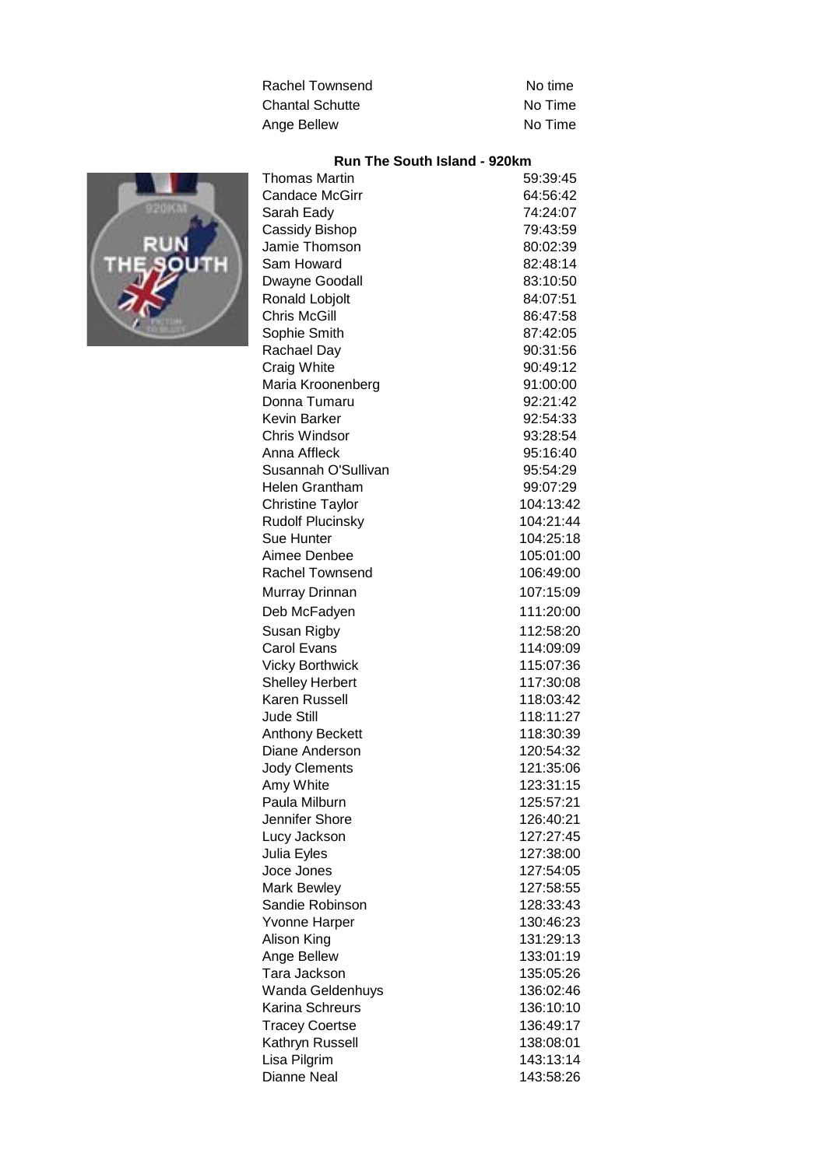| Rachel Townsend        | No time |
|------------------------|---------|
| <b>Chantal Schutte</b> | No Time |
| Ange Bellew            | No Time |

# **Run The South Island - 920km**



| Thomas Martin           | 59:39:45  |
|-------------------------|-----------|
| <b>Candace McGirr</b>   | 64:56:42  |
| Sarah Eady              | 74:24:07  |
| Cassidy Bishop          | 79:43:59  |
| Jamie Thomson           | 80:02:39  |
| Sam Howard              | 82:48:14  |
| Dwayne Goodall          | 83:10:50  |
| Ronald Lobjolt          | 84:07:51  |
| <b>Chris McGill</b>     | 86:47:58  |
| Sophie Smith            | 87:42:05  |
| Rachael Day             | 90:31:56  |
| Craig White             | 90:49:12  |
| Maria Kroonenberg       | 91:00:00  |
| Donna Tumaru            | 92:21:42  |
| Kevin Barker            | 92:54:33  |
| <b>Chris Windsor</b>    | 93:28:54  |
| Anna Affleck            | 95:16:40  |
| Susannah O'Sullivan     | 95:54:29  |
| Helen Grantham          | 99:07:29  |
| <b>Christine Taylor</b> | 104:13:42 |
| <b>Rudolf Plucinsky</b> | 104:21:44 |
| Sue Hunter              | 104:25:18 |
| Aimee Denbee            | 105:01:00 |
| Rachel Townsend         | 106:49:00 |
| Murray Drinnan          | 107:15:09 |
| Deb McFadyen            | 111:20:00 |
| Susan Rigby             | 112:58:20 |
| <b>Carol Evans</b>      | 114:09:09 |
| <b>Vicky Borthwick</b>  | 115:07:36 |
| <b>Shelley Herbert</b>  | 117:30:08 |
| Karen Russell           | 118:03:42 |
| <b>Jude Still</b>       | 118:11:27 |
| Anthony Beckett         | 118:30:39 |
| Diane Anderson          | 120:54:32 |
| <b>Jody Clements</b>    | 121:35:06 |
| Amy White               | 123:31:15 |
| Paula Milburn           | 125:57:21 |
| Jennifer Shore          | 126:40:21 |
| Lucy Jackson            | 127:27:45 |
| Julia Eyles             | 127:38:00 |
| Joce Jones              | 127:54:05 |
| Mark Bewley             | 127:58:55 |
| Sandie Robinson         | 128:33:43 |
| <b>Yvonne Harper</b>    | 130:46:23 |
| Alison King             | 131:29:13 |
| Ange Bellew             | 133:01:19 |
| Tara Jackson            | 135:05:26 |
| Wanda Geldenhuys        | 136:02:46 |
| Karina Schreurs         | 136:10:10 |
| <b>Tracey Coertse</b>   | 136:49:17 |
| Kathryn Russell         | 138:08:01 |
| Lisa Pilgrim            | 143:13:14 |
| Dianne Neal             | 143:58:26 |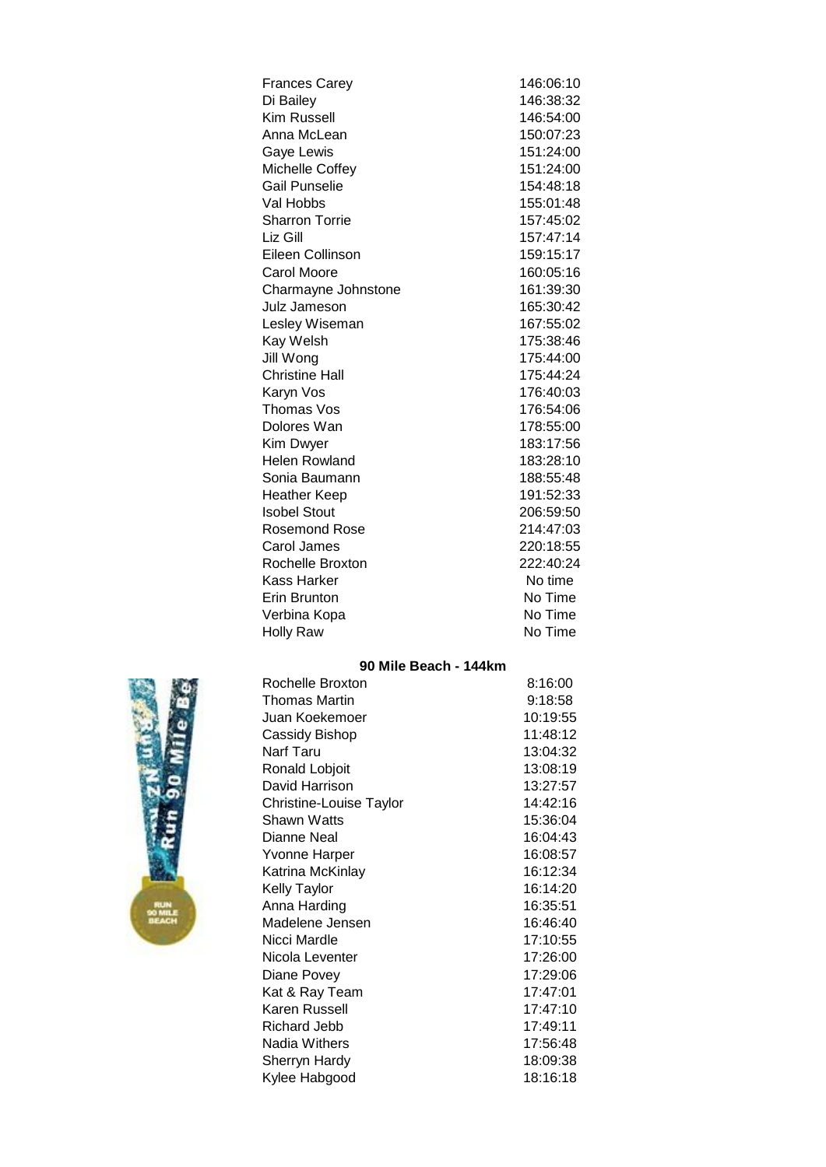| <b>Frances Carey</b>  | 146:06:10 |
|-----------------------|-----------|
| Di Bailey             | 146:38:32 |
| Kim Russell           | 146:54:00 |
| Anna McLean           | 150:07:23 |
| Gaye Lewis            | 151:24:00 |
| Michelle Coffey       | 151:24:00 |
| <b>Gail Punselie</b>  | 154:48:18 |
| Val Hobbs             | 155:01:48 |
| <b>Sharron Torrie</b> | 157:45:02 |
| Liz Gill              | 157:47:14 |
| Eileen Collinson      | 159:15:17 |
| <b>Carol Moore</b>    | 160:05:16 |
| Charmayne Johnstone   | 161:39:30 |
| Julz Jameson          | 165:30:42 |
| Lesley Wiseman        | 167:55:02 |
| Kay Welsh             | 175:38:46 |
| Jill Wong             | 175:44:00 |
| <b>Christine Hall</b> | 175:44:24 |
| Karyn Vos             | 176:40:03 |
| Thomas Vos            | 176:54:06 |
| Dolores Wan           | 178:55:00 |
| Kim Dwyer             | 183:17:56 |
| <b>Helen Rowland</b>  | 183:28:10 |
| Sonia Baumann         | 188:55:48 |
| <b>Heather Keep</b>   | 191:52:33 |
| <b>Isobel Stout</b>   | 206:59:50 |
| <b>Rosemond Rose</b>  | 214:47:03 |
| Carol James           | 220:18:55 |
| Rochelle Broxton      | 222:40:24 |
| Kass Harker           | No time   |
| Erin Brunton          | No Time   |
| Verbina Kopa          | No Time   |
| <b>Holly Raw</b>      | No Time   |

### **90 Mile Beach - 144km**



| Rochelle Broxton        | 8:16:00  |
|-------------------------|----------|
| Thomas Martin           | 9:18:58  |
| Juan Koekemoer          | 10:19:55 |
| Cassidy Bishop          | 11:48:12 |
| Narf Taru               | 13:04:32 |
| Ronald Lobjoit          | 13:08:19 |
| David Harrison          | 13:27:57 |
| Christine-Louise Taylor | 14:42:16 |
| Shawn Watts             | 15:36:04 |
| Dianne Neal             | 16:04:43 |
| <b>Yvonne Harper</b>    | 16:08:57 |
| Katrina McKinlay        | 16:12:34 |
| <b>Kelly Taylor</b>     | 16:14:20 |
| Anna Harding            | 16:35:51 |
| Madelene Jensen         | 16:46:40 |
| Nicci Mardle            | 17:10:55 |
| Nicola Leventer         | 17:26:00 |
| Diane Povey             | 17:29:06 |
| Kat & Ray Team          | 17:47:01 |
| Karen Russell           | 17:47:10 |
| Richard Jebb            | 17:49:11 |
| Nadia Withers           | 17:56:48 |
| Sherryn Hardy           | 18:09:38 |
| Kylee Habgood           | 18:16:18 |
|                         |          |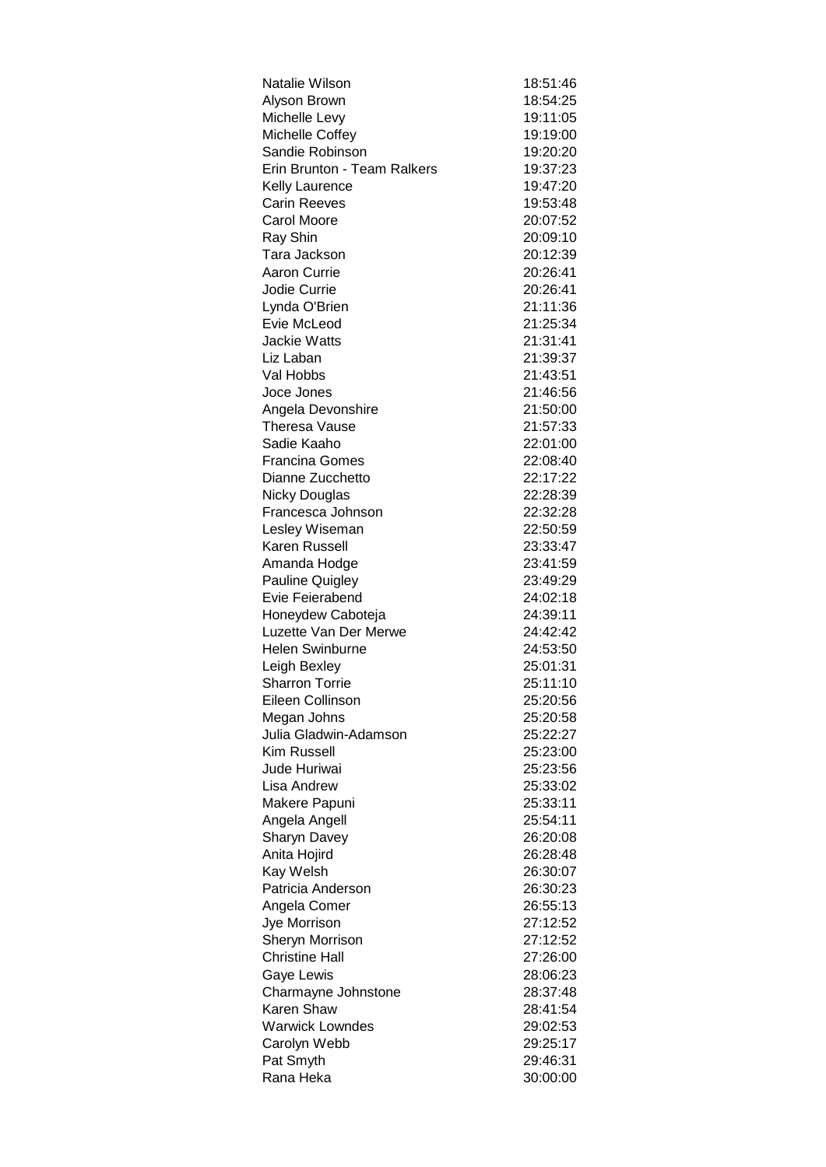| Natalie Wilson              | 18:51:46 |
|-----------------------------|----------|
| Alyson Brown                | 18:54:25 |
| Michelle Levy               | 19:11:05 |
| Michelle Coffey             | 19:19:00 |
| Sandie Robinson             | 19:20:20 |
| Erin Brunton - Team Ralkers | 19:37:23 |
| <b>Kelly Laurence</b>       | 19:47:20 |
| <b>Carin Reeves</b>         | 19:53:48 |
| Carol Moore                 | 20:07:52 |
| Ray Shin                    | 20:09:10 |
| Tara Jackson                | 20:12:39 |
| Aaron Currie                | 20:26:41 |
| Jodie Currie                | 20:26:41 |
| Lynda O'Brien               | 21:11:36 |
| Evie McLeod                 | 21:25:34 |
| <b>Jackie Watts</b>         | 21:31:41 |
| Liz Laban                   | 21:39:37 |
| Val Hobbs                   | 21:43:51 |
| Joce Jones                  | 21:46:56 |
| Angela Devonshire           | 21:50:00 |
| <b>Theresa Vause</b>        | 21:57:33 |
| Sadie Kaaho                 | 22:01:00 |
| <b>Francina Gomes</b>       | 22:08:40 |
| Dianne Zucchetto            | 22:17:22 |
| <b>Nicky Douglas</b>        | 22:28:39 |
| Francesca Johnson           | 22:32:28 |
| Lesley Wiseman              | 22:50:59 |
| Karen Russell               | 23:33:47 |
| Amanda Hodge                | 23:41:59 |
| <b>Pauline Quigley</b>      | 23:49:29 |
| Evie Feierabend             | 24:02:18 |
| Honeydew Caboteja           | 24:39:11 |
| Luzette Van Der Merwe       | 24:42:42 |
| <b>Helen Swinburne</b>      | 24:53:50 |
| Leigh Bexley                | 25:01:31 |
| <b>Sharron Torrie</b>       | 25:11:10 |
| Eileen Collinson            | 25:20:56 |
| Megan Johns                 | 25:20:58 |
| Julia Gladwin-Adamson       | 25:22:27 |
| Kim Russell                 | 25:23:00 |
| Jude Huriwai                | 25:23:56 |
| Lisa Andrew                 | 25:33:02 |
| Makere Papuni               | 25:33:11 |
| Angela Angell               | 25:54:11 |
| <b>Sharyn Davey</b>         | 26:20:08 |
| Anita Hojird                | 26:28:48 |
| Kay Welsh                   | 26:30:07 |
| Patricia Anderson           | 26:30:23 |
| Angela Comer                | 26:55:13 |
| Jye Morrison                | 27:12:52 |
| Sheryn Morrison             | 27:12:52 |
| <b>Christine Hall</b>       | 27:26:00 |
| Gaye Lewis                  | 28:06:23 |
| Charmayne Johnstone         | 28:37:48 |
| Karen Shaw                  | 28:41:54 |
| <b>Warwick Lowndes</b>      | 29:02:53 |
| Carolyn Webb                | 29:25:17 |
| Pat Smyth                   | 29:46:31 |
| Rana Heka                   | 30:00:00 |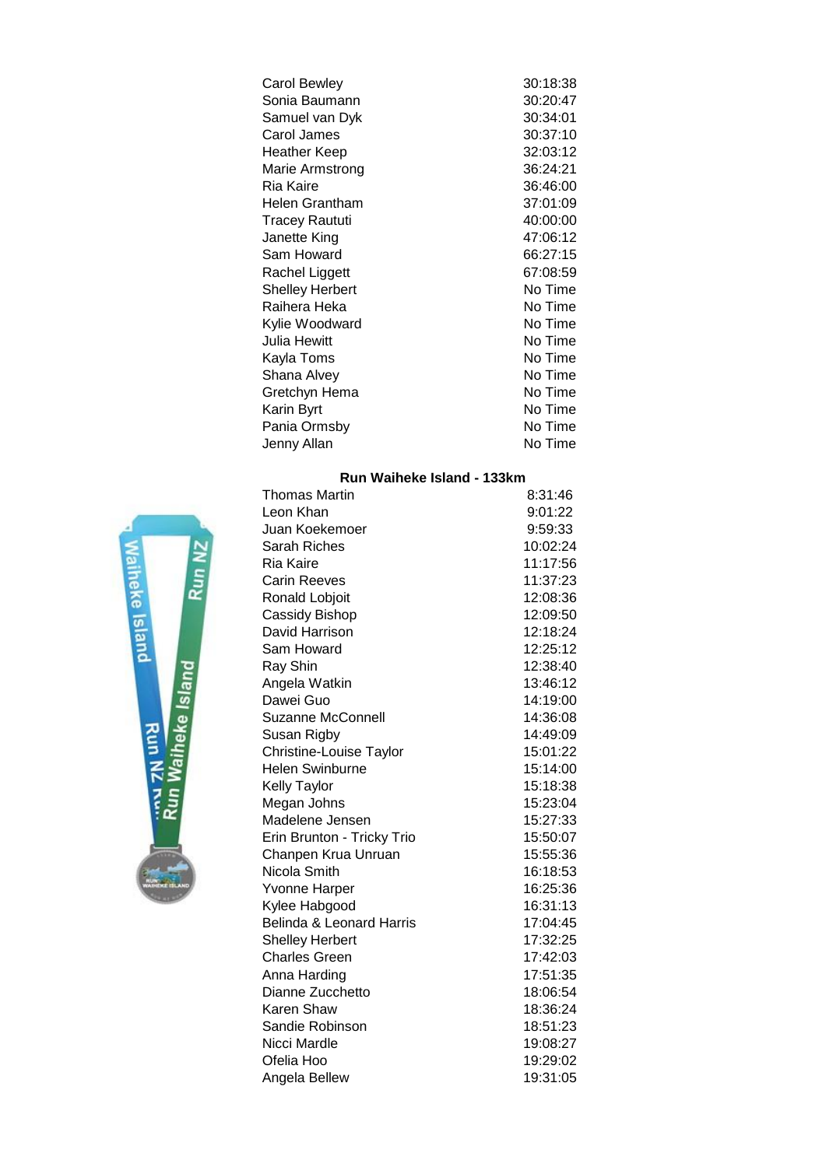| Carol Bewley           | 30:18:38 |
|------------------------|----------|
| Sonia Baumann          | 30:20:47 |
| Samuel van Dyk         | 30:34:01 |
| Carol James            | 30:37:10 |
| Heather Keep           | 32:03:12 |
| Marie Armstrong        | 36:24:21 |
| Ria Kaire              | 36:46:00 |
| Helen Grantham         | 37:01:09 |
| <b>Tracey Raututi</b>  | 40:00:00 |
| Janette King           | 47:06:12 |
| Sam Howard             | 66:27:15 |
| Rachel Liggett         | 67:08:59 |
| <b>Shelley Herbert</b> | No Time  |
| Raihera Heka           | No Time  |
| Kylie Woodward         | No Time  |
| Julia Hewitt           | No Time  |
| Kayla Toms             | No Time  |
| Shana Alvey            | No Time  |
| Gretchyn Hema          | No Time  |
| Karin Byrt             | No Time  |
| Pania Ormsby           | No Time  |
| Jenny Allan            | No Time  |
|                        |          |

# **Run Waiheke Island - 133km**

| <b>Thomas Martin</b>       | 8:31:46  |
|----------------------------|----------|
| Leon Khan                  | 9:01:22  |
| Juan Koekemoer             | 9:59:33  |
| <b>Sarah Riches</b>        | 10:02:24 |
| Ria Kaire                  | 11:17:56 |
| <b>Carin Reeves</b>        | 11:37:23 |
| Ronald Lobjoit             | 12:08:36 |
| Cassidy Bishop             | 12:09:50 |
| David Harrison             | 12:18:24 |
| Sam Howard                 | 12:25:12 |
| Ray Shin                   | 12:38:40 |
| Angela Watkin              | 13:46:12 |
| Dawei Guo                  | 14:19:00 |
| <b>Suzanne McConnell</b>   | 14:36:08 |
| Susan Rigby                | 14:49:09 |
| Christine-Louise Taylor    | 15:01:22 |
| <b>Helen Swinburne</b>     | 15:14:00 |
| <b>Kelly Taylor</b>        | 15:18:38 |
| Megan Johns                | 15:23:04 |
| Madelene Jensen            | 15:27:33 |
| Erin Brunton - Tricky Trio | 15:50:07 |
| Chanpen Krua Unruan        | 15:55:36 |
| Nicola Smith               | 16:18:53 |
| Yvonne Harper              | 16:25:36 |
| Kylee Habgood              | 16:31:13 |
| Belinda & Leonard Harris   | 17:04:45 |
| <b>Shelley Herbert</b>     | 17:32:25 |
| <b>Charles Green</b>       | 17:42:03 |
| Anna Harding               | 17:51:35 |
| Dianne Zucchetto           | 18:06:54 |
| Karen Shaw                 | 18:36:24 |
| Sandie Robinson            | 18:51:23 |
| Nicci Mardle               | 19:08:27 |
| Ofelia Hoo                 | 19:29:02 |
| Angela Bellew              | 19:31:05 |

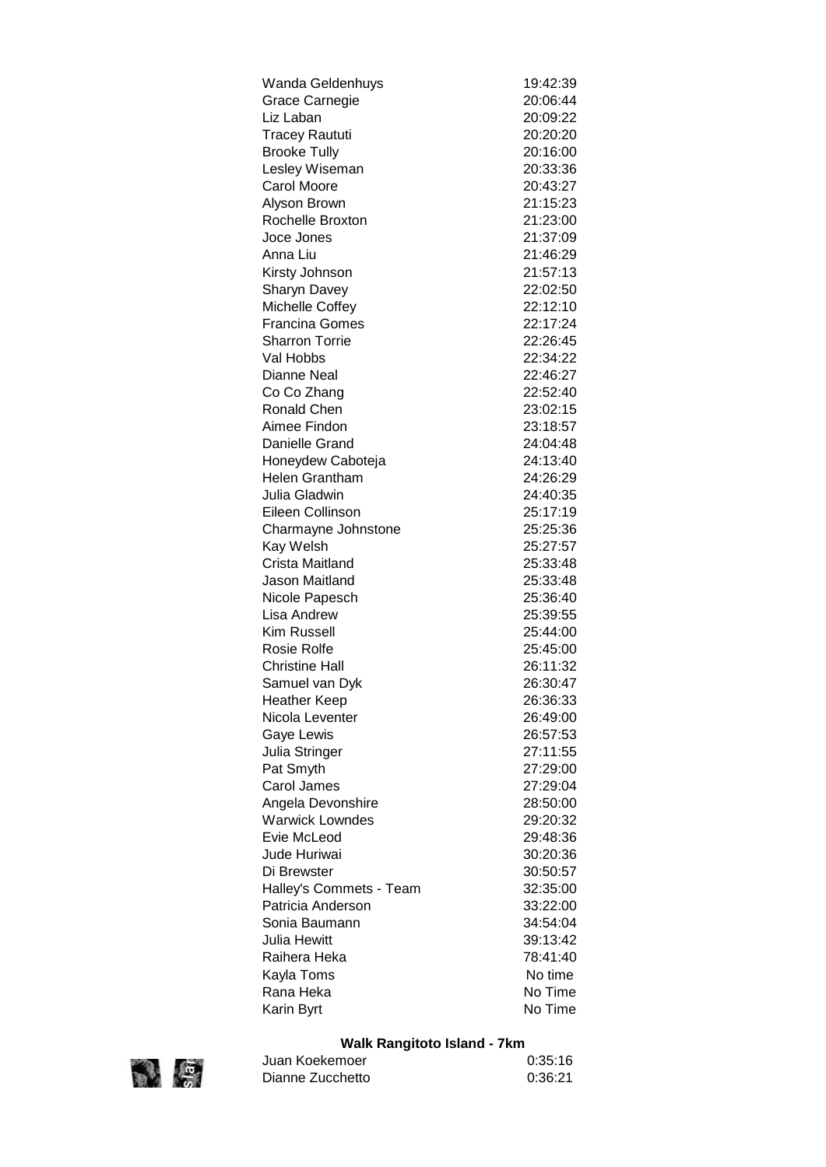| Wanda Geldenhuys        | 19:42:39 |
|-------------------------|----------|
| Grace Carnegie          | 20:06:44 |
| Liz Laban               | 20:09:22 |
| <b>Tracey Raututi</b>   | 20:20:20 |
| <b>Brooke Tully</b>     | 20:16:00 |
| Lesley Wiseman          | 20:33:36 |
| Carol Moore             | 20:43:27 |
| Alyson Brown            | 21:15:23 |
| Rochelle Broxton        | 21:23:00 |
| Joce Jones              | 21:37:09 |
| Anna Liu                | 21:46:29 |
| Kirsty Johnson          | 21:57:13 |
| Sharyn Davey            | 22:02:50 |
| Michelle Coffey         | 22:12:10 |
| <b>Francina Gomes</b>   | 22:17:24 |
| <b>Sharron Torrie</b>   | 22:26:45 |
| Val Hobbs               | 22:34:22 |
| Dianne Neal             | 22:46:27 |
| Co Co Zhang             | 22:52:40 |
| <b>Ronald Chen</b>      | 23:02:15 |
| Aimee Findon            | 23:18:57 |
| Danielle Grand          | 24:04:48 |
| Honeydew Caboteja       | 24:13:40 |
| <b>Helen Grantham</b>   | 24:26:29 |
| Julia Gladwin           | 24:40:35 |
| Eileen Collinson        | 25:17:19 |
| Charmayne Johnstone     | 25:25:36 |
| Kay Welsh               | 25:27:57 |
| Crista Maitland         | 25:33:48 |
| Jason Maitland          | 25:33:48 |
| Nicole Papesch          | 25:36:40 |
| Lisa Andrew             | 25:39:55 |
| <b>Kim Russell</b>      | 25:44:00 |
| <b>Rosie Rolfe</b>      | 25:45:00 |
| <b>Christine Hall</b>   | 26:11:32 |
| Samuel van Dyk          | 26:30:47 |
| Heather Keep            | 26:36:33 |
| Nicola Leventer         | 26:49:00 |
| Gaye Lewis              | 26:57:53 |
| Julia Stringer          | 27:11:55 |
| Pat Smyth               | 27:29:00 |
| Carol James             | 27:29:04 |
| Angela Devonshire       | 28:50:00 |
| <b>Warwick Lowndes</b>  | 29:20:32 |
| Evie McLeod             | 29:48:36 |
| Jude Huriwai            | 30:20:36 |
| Di Brewster             | 30:50:57 |
| Halley's Commets - Team | 32:35:00 |
| Patricia Anderson       | 33:22:00 |
| Sonia Baumann           | 34:54:04 |
| Julia Hewitt            | 39:13:42 |
| Raihera Heka            | 78:41:40 |
| Kayla Toms              | No time  |
| Rana Heka               | No Time  |
| Karin Byrt              | No Time  |

# **Walk Rangitoto Island - 7km**



Juan Koekemoer 0:35:16 Dianne Zucchetto 0:36:21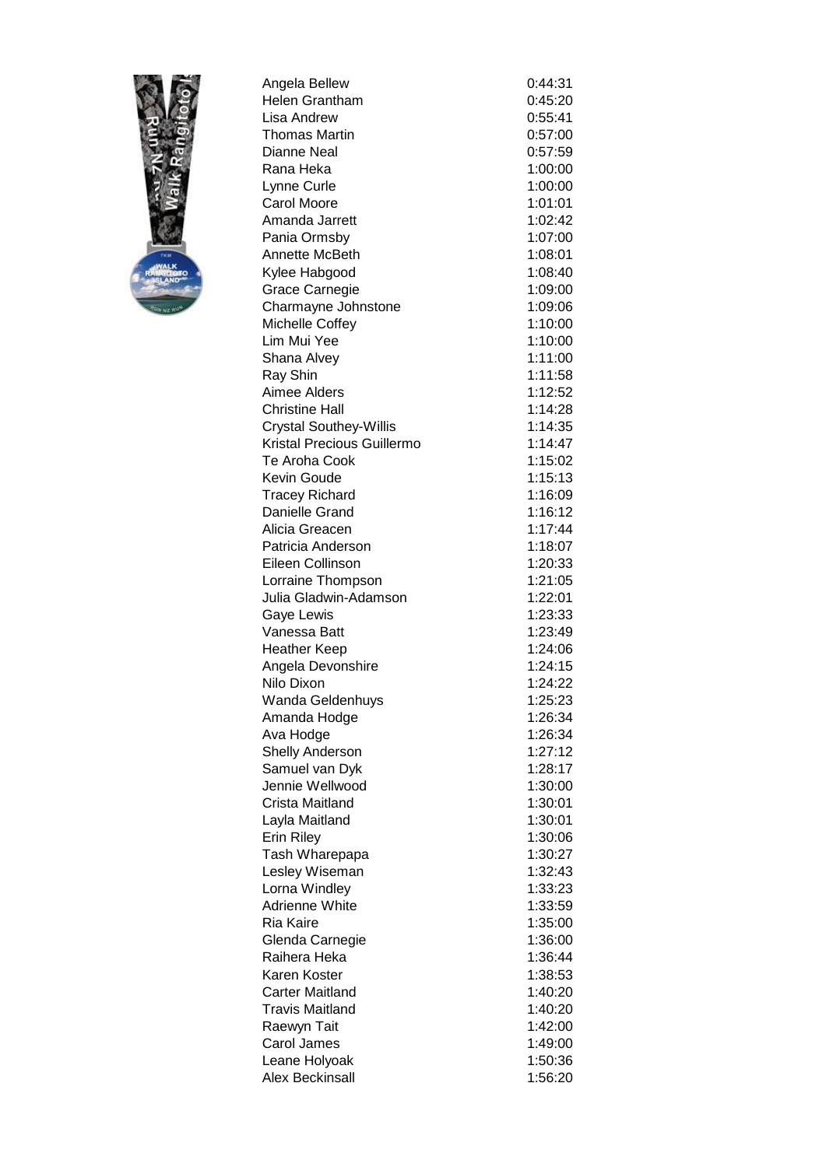

| Angela Bellew                           | 0:44:31 |
|-----------------------------------------|---------|
| Helen Grantham                          | 0:45:20 |
| Lisa Andrew                             | 0:55:41 |
| Thomas Martin                           | 0:57:00 |
| Dianne Neal                             | 0:57:59 |
| Rana Heka                               | 1:00:00 |
| Lynne Curle                             | 1:00:00 |
| <b>Carol Moore</b>                      | 1:01:01 |
| Amanda Jarrett                          | 1:02:42 |
| Pania Ormsby                            | 1:07:00 |
| Annette McBeth                          | 1:08:01 |
| Kylee Habgood                           | 1:08:40 |
| <b>Grace Carnegie</b>                   | 1:09:00 |
| Charmayne Johnstone                     | 1:09:06 |
| Michelle Coffey                         | 1:10:00 |
| Lim Mui Yee                             | 1:10:00 |
| Shana Alvey                             | 1:11:00 |
| Ray Shin                                | 1:11:58 |
| Aimee Alders                            | 1:12:52 |
| <b>Christine Hall</b>                   | 1:14:28 |
| <b>Crystal Southey-Willis</b>           | 1:14:35 |
| Kristal Precious Guillermo              | 1:14:47 |
| Te Aroha Cook                           | 1:15:02 |
| <b>Kevin Goude</b>                      | 1:15:13 |
|                                         | 1:16:09 |
| <b>Tracey Richard</b><br>Danielle Grand |         |
|                                         | 1:16:12 |
| Alicia Greacen                          | 1:17:44 |
| Patricia Anderson                       | 1:18:07 |
| Eileen Collinson                        | 1:20:33 |
| Lorraine Thompson                       | 1:21:05 |
| Julia Gladwin-Adamson                   | 1:22:01 |
| Gaye Lewis                              | 1:23:33 |
| Vanessa Batt                            | 1:23:49 |
| <b>Heather Keep</b>                     | 1:24:06 |
| Angela Devonshire                       | 1:24:15 |
| Nilo Dixon                              | 1:24:22 |
| Wanda Geldenhuys                        | 1:25:23 |
| Amanda Hodge                            | 1:26:34 |
| Ava Hodge                               | 1:26:34 |
| <b>Shelly Anderson</b>                  | 1:27:12 |
| Samuel van Dyk                          | 1:28:17 |
| Jennie Wellwood                         | 1:30:00 |
| Crista Maitland                         | 1:30:01 |
| Layla Maitland                          | 1:30:01 |
| <b>Erin Riley</b>                       | 1:30:06 |
| Tash Wharepapa                          | 1:30:27 |
| Lesley Wiseman                          | 1:32:43 |
| Lorna Windley                           | 1:33:23 |
| <b>Adrienne White</b>                   | 1:33:59 |
| Ria Kaire                               | 1:35:00 |
| Glenda Carnegie                         | 1:36:00 |
| Raihera Heka                            | 1:36:44 |
| Karen Koster                            | 1:38:53 |
| <b>Carter Maitland</b>                  | 1:40:20 |
| <b>Travis Maitland</b>                  | 1:40:20 |
| Raewyn Tait                             | 1:42:00 |
| Carol James                             | 1:49:00 |
| Leane Holyoak                           | 1:50:36 |
| Alex Beckinsall                         | 1:56:20 |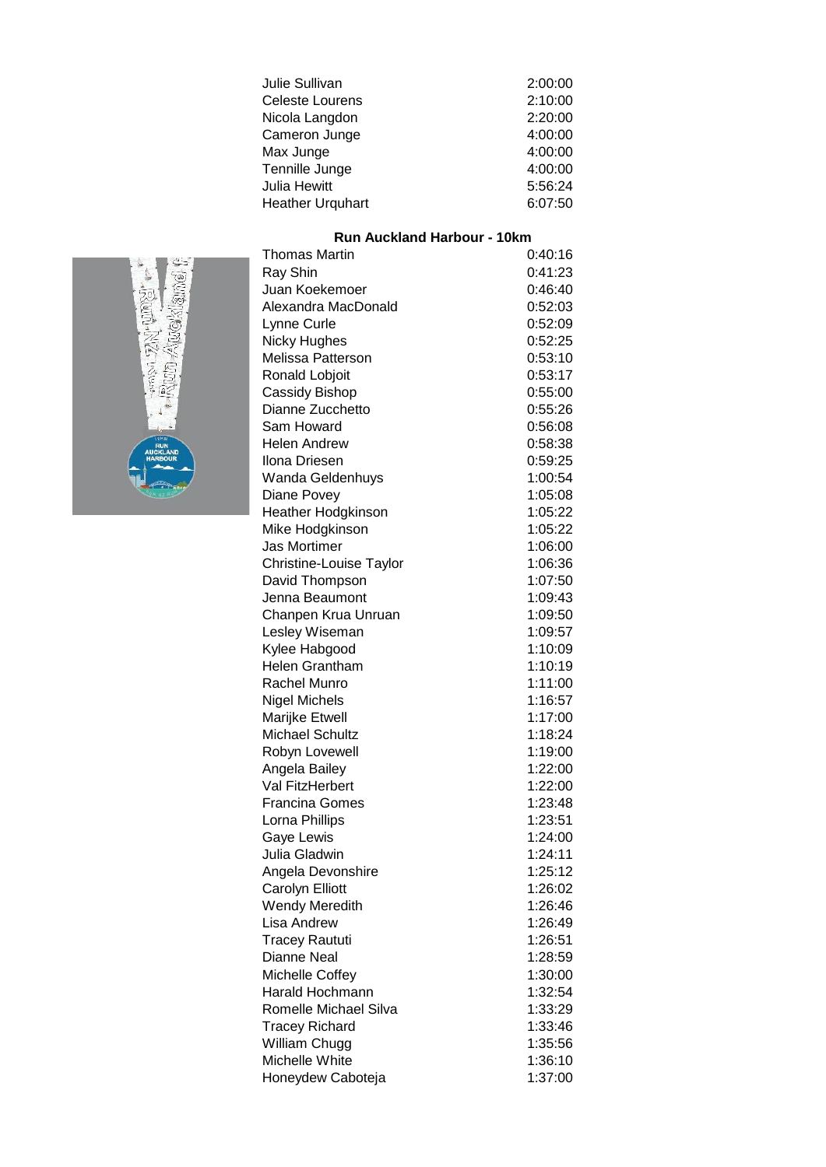| Julie Sullivan          | 2:00:00 |
|-------------------------|---------|
| Celeste Lourens         | 2:10:00 |
| Nicola Langdon          | 2:20:00 |
| Cameron Junge           | 4:00:00 |
| Max Junge               | 4:00:00 |
| Tennille Junge          | 4:00:00 |
| Julia Hewitt            | 5:56:24 |
| <b>Heather Urquhart</b> | 6:07:50 |

### Thomas Martin 0:40:16 **Run Auckland Harbour - 10km**



| Ray Shin                | 0:41:23 |
|-------------------------|---------|
| Juan Koekemoer          | 0:46:40 |
| Alexandra MacDonald     | 0:52:03 |
| Lynne Curle             | 0:52:09 |
| <b>Nicky Hughes</b>     | 0:52:25 |
| Melissa Patterson       | 0:53:10 |
| Ronald Lobjoit          | 0:53:17 |
| Cassidy Bishop          | 0:55:00 |
| Dianne Zucchetto        | 0:55:26 |
| Sam Howard              | 0:56:08 |
| <b>Helen Andrew</b>     | 0:58:38 |
| Ilona Driesen           | 0:59:25 |
| Wanda Geldenhuys        | 1:00:54 |
| Diane Povey             | 1:05:08 |
| Heather Hodgkinson      | 1:05:22 |
| Mike Hodgkinson         | 1:05:22 |
| <b>Jas Mortimer</b>     | 1:06:00 |
| Christine-Louise Taylor | 1:06:36 |
| David Thompson          | 1:07:50 |
| Jenna Beaumont          | 1:09:43 |
| Chanpen Krua Unruan     | 1:09:50 |
| Lesley Wiseman          | 1:09:57 |
| Kylee Habgood           | 1:10:09 |
| <b>Helen Grantham</b>   | 1:10:19 |
| Rachel Munro            | 1:11:00 |
| <b>Nigel Michels</b>    | 1:16:57 |
| Marijke Etwell          | 1:17:00 |
| <b>Michael Schultz</b>  | 1:18:24 |
| Robyn Lovewell          | 1:19:00 |
| Angela Bailey           | 1:22:00 |
| Val FitzHerbert         | 1:22:00 |
| <b>Francina Gomes</b>   | 1:23:48 |
| Lorna Phillips          | 1:23:51 |
| Gaye Lewis              | 1:24:00 |
| Julia Gladwin           | 1:24:11 |
| Angela Devonshire       | 1:25:12 |
| Carolyn Elliott         | 1:26:02 |
| Wendy Meredith          | 1:26:46 |
| Lisa Andrew             | 1:26:49 |
| <b>Tracey Raututi</b>   | 1:26:51 |
| Dianne Neal             | 1:28:59 |
| Michelle Coffey         | 1:30:00 |
| Harald Hochmann         | 1:32:54 |
| Romelle Michael Silva   | 1:33:29 |
| <b>Tracey Richard</b>   | 1:33:46 |
| William Chugg           | 1:35:56 |
| Michelle White          | 1:36:10 |
| Honeydew Caboteja       | 1:37:00 |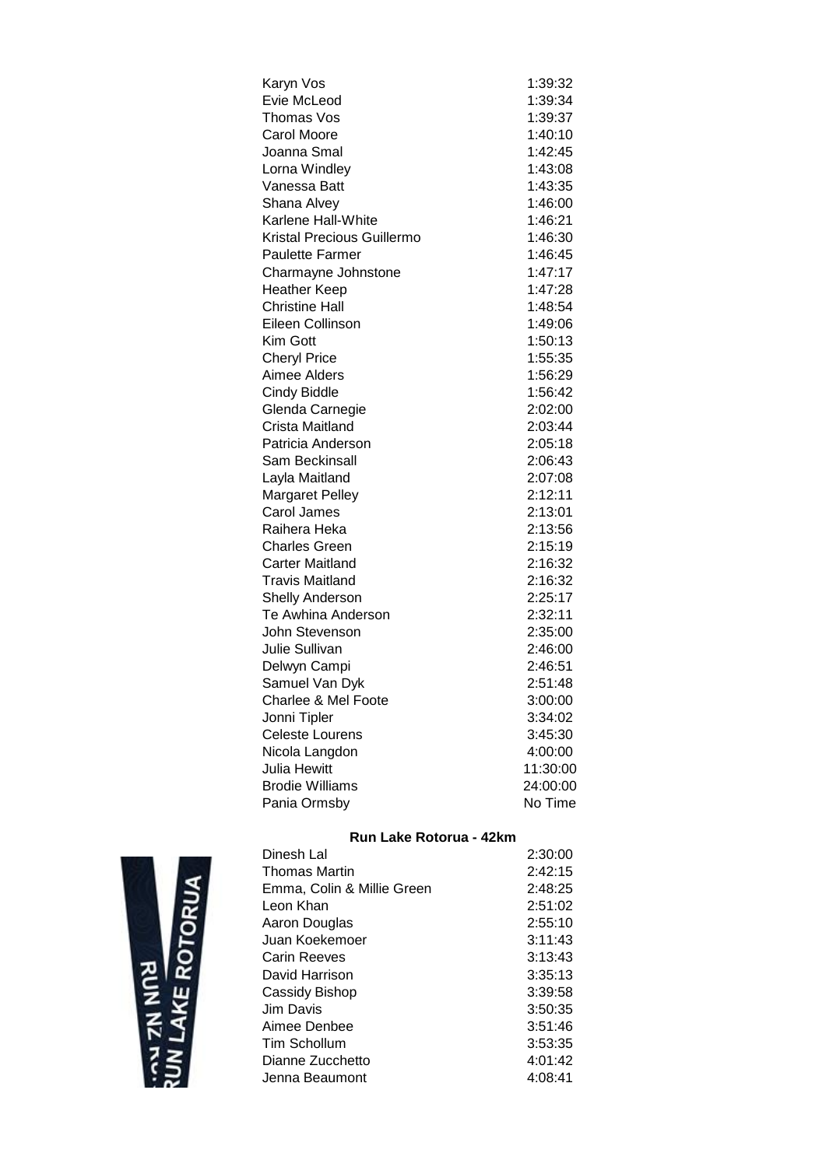| Karyn Vos                  | 1:39:32  |
|----------------------------|----------|
| Evie McLeod                | 1:39:34  |
| Thomas Vos                 | 1:39:37  |
| <b>Carol Moore</b>         | 1:40:10  |
| Joanna Smal                | 1:42:45  |
| Lorna Windley              | 1:43:08  |
| Vanessa Batt               | 1:43:35  |
| Shana Alvey                | 1:46:00  |
| Karlene Hall-White         | 1:46:21  |
| Kristal Precious Guillermo | 1:46:30  |
| <b>Paulette Farmer</b>     | 1:46:45  |
| Charmayne Johnstone        | 1:47:17  |
| <b>Heather Keep</b>        | 1:47:28  |
| <b>Christine Hall</b>      | 1:48:54  |
| Eileen Collinson           | 1:49:06  |
| Kim Gott                   | 1:50:13  |
| <b>Cheryl Price</b>        | 1:55:35  |
| Aimee Alders               | 1:56:29  |
| <b>Cindy Biddle</b>        | 1:56:42  |
| Glenda Carnegie            | 2:02:00  |
| Crista Maitland            | 2:03:44  |
| Patricia Anderson          | 2:05:18  |
| Sam Beckinsall             | 2:06:43  |
| Layla Maitland             | 2:07:08  |
| Margaret Pelley            | 2:12:11  |
| Carol James                | 2:13:01  |
| Raihera Heka               | 2:13:56  |
| <b>Charles Green</b>       | 2:15:19  |
| <b>Carter Maitland</b>     | 2:16:32  |
| <b>Travis Maitland</b>     | 2:16:32  |
| <b>Shelly Anderson</b>     | 2:25:17  |
| Te Awhina Anderson         | 2:32:11  |
| John Stevenson             | 2:35:00  |
| Julie Sullivan             | 2:46:00  |
| Delwyn Campi               | 2:46:51  |
| Samuel Van Dyk             | 2:51:48  |
| Charlee & Mel Foote        | 3:00:00  |
| Jonni Tipler               | 3:34:02  |
| <b>Celeste Lourens</b>     | 3:45:30  |
| Nicola Langdon             | 4:00:00  |
| <b>Julia Hewitt</b>        | 11:30:00 |
| <b>Brodie Williams</b>     | 24:00:00 |
| Pania Ormsby               | No Time  |

# **Run Lake Rotorua - 42km**

| Dinesh Lal                 | 2:30:00 |
|----------------------------|---------|
| Thomas Martin              | 2:42:15 |
| Emma, Colin & Millie Green | 2:48:25 |
| Leon Khan                  | 2:51:02 |
| Aaron Douglas              | 2:55:10 |
| Juan Koekemoer             | 3:11:43 |
| Carin Reeves               | 3:13:43 |
| David Harrison             | 3:35:13 |
| Cassidy Bishop             | 3:39:58 |
| Jim Davis                  | 3:50:35 |
| Aimee Denbee               | 3:51:46 |
| Tim Schollum               | 3:53:35 |
| Dianne Zucchetto           | 4:01:42 |
| Jenna Beaumont             | 4:08:41 |

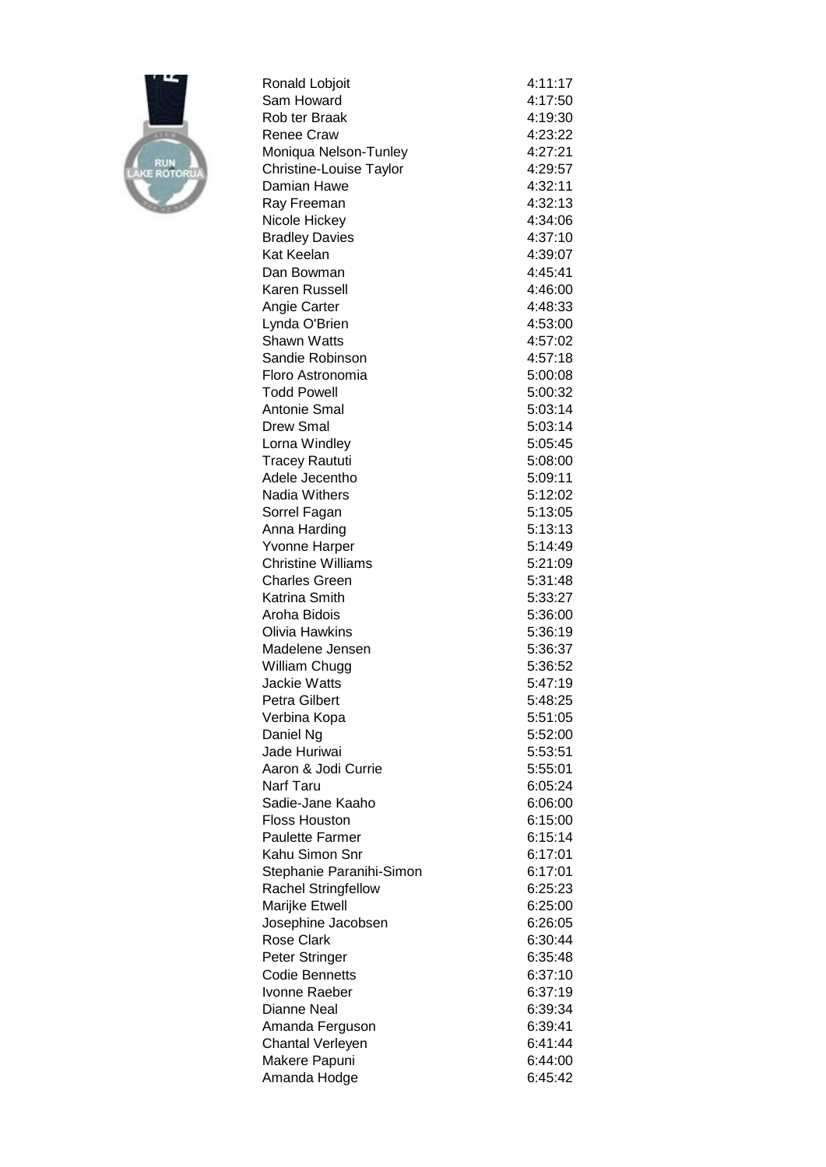

| Ronald Lobjoit                       | 4:11:17            |
|--------------------------------------|--------------------|
| Sam Howard                           | 4:17:50            |
| Rob ter Braak                        | 4:19:30            |
| <b>Renee Craw</b>                    | 4:23:22            |
| Moniqua Nelson-Tunley                | 4:27:21            |
| Christine-Louise Taylor              | 4:29:57            |
| Damian Hawe                          | 4:32:11            |
| Ray Freeman                          | 4:32:13            |
| Nicole Hickey                        | 4:34:06            |
| <b>Bradley Davies</b>                | 4:37:10            |
| Kat Keelan                           | 4:39:07            |
| Dan Bowman                           | 4:45:41            |
| Karen Russell                        | 4:46:00            |
| Angie Carter                         | 4:48:33            |
| Lynda O'Brien                        | 4:53:00            |
| Shawn Watts                          | 4:57:02            |
| Sandie Robinson                      | 4:57:18            |
| Floro Astronomia                     | 5:00:08            |
| <b>Todd Powell</b>                   | 5:00:32            |
| <b>Antonie Smal</b>                  | 5:03:14            |
| <b>Drew Smal</b>                     | 5:03:14            |
| Lorna Windley                        | 5:05:45            |
| <b>Tracey Raututi</b>                | 5:08:00            |
| Adele Jecentho                       | 5:09:11            |
| <b>Nadia Withers</b>                 | 5:12:02            |
| Sorrel Fagan                         | 5:13:05            |
| Anna Harding                         | 5:13:13            |
| Yvonne Harper                        | 5:14:49            |
| <b>Christine Williams</b>            | 5:21:09            |
| <b>Charles Green</b>                 | 5:31:48            |
| Katrina Smith                        | 5:33:27            |
| Aroha Bidois<br>Olivia Hawkins       | 5:36:00            |
| Madelene Jensen                      | 5:36:19            |
|                                      | 5:36:37            |
| William Chugg<br><b>Jackie Watts</b> | 5:36:52<br>5:47:19 |
| Petra Gilbert                        | 5:48:25            |
| Verbina Kopa                         | 5:51:05            |
| Daniel Ng                            | 5:52:00            |
| Jade Huriwai                         | 5:53:51            |
| Aaron & Jodi Currie                  | 5:55:01            |
| Narf Taru                            | 6:05:24            |
| Sadie-Jane Kaaho                     | 6:06:00            |
| <b>Floss Houston</b>                 | 6:15:00            |
| <b>Paulette Farmer</b>               | 6:15:14            |
| Kahu Simon Snr                       | 6:17:01            |
| Stephanie Paranihi-Simon             | 6:17:01            |
| <b>Rachel Stringfellow</b>           | 6:25:23            |
| Marijke Etwell                       | 6:25:00            |
| Josephine Jacobsen                   | 6:26:05            |
| <b>Rose Clark</b>                    | 6:30:44            |
| Peter Stringer                       | 6:35:48            |
| <b>Codie Bennetts</b>                | 6:37:10            |
| Ivonne Raeber                        | 6:37:19            |
| <b>Dianne Neal</b>                   | 6:39:34            |
| Amanda Ferguson                      | 6:39:41            |
| <b>Chantal Verleyen</b>              | 6:41:44            |
| Makere Papuni                        | 6:44:00            |
| Amanda Hodge                         | 6:45:42            |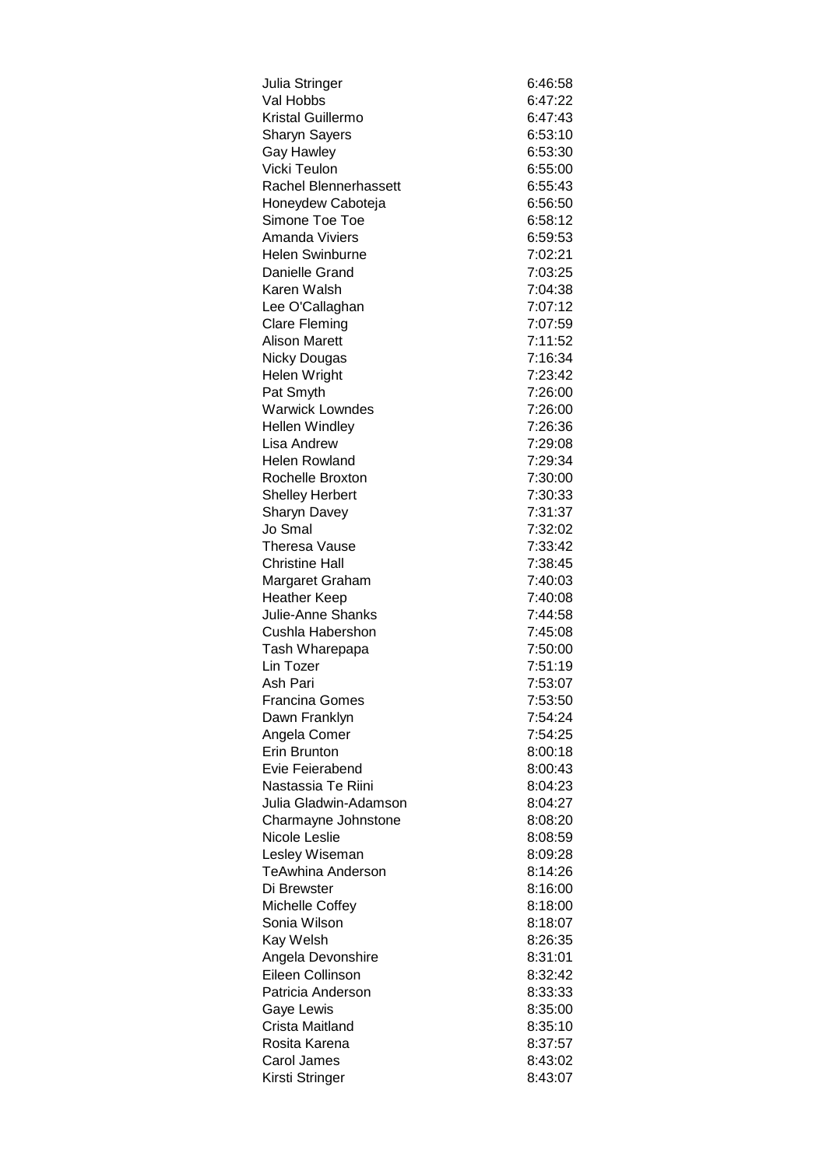| Julia Stringer           | 6:46:58 |
|--------------------------|---------|
| Val Hobbs                | 6:47:22 |
| Kristal Guillermo        | 6:47:43 |
| <b>Sharyn Sayers</b>     | 6:53:10 |
| <b>Gay Hawley</b>        | 6:53:30 |
| Vicki Teulon             | 6:55:00 |
| Rachel Blennerhassett    | 6:55:43 |
| Honeydew Caboteja        | 6:56:50 |
| Simone Toe Toe           | 6:58:12 |
| <b>Amanda Viviers</b>    | 6:59:53 |
| <b>Helen Swinburne</b>   | 7:02:21 |
| Danielle Grand           | 7:03:25 |
| Karen Walsh              | 7:04:38 |
| Lee O'Callaghan          | 7:07:12 |
| <b>Clare Fleming</b>     | 7:07:59 |
| <b>Alison Marett</b>     | 7:11:52 |
| Nicky Dougas             | 7:16:34 |
| Helen Wright             | 7:23:42 |
| Pat Smyth                | 7:26:00 |
| <b>Warwick Lowndes</b>   | 7:26:00 |
| <b>Hellen Windley</b>    | 7:26:36 |
| Lisa Andrew              | 7:29:08 |
| <b>Helen Rowland</b>     | 7:29:34 |
| Rochelle Broxton         | 7:30:00 |
| <b>Shelley Herbert</b>   | 7:30:33 |
| <b>Sharyn Davey</b>      | 7:31:37 |
| Jo Smal                  | 7:32:02 |
| Theresa Vause            | 7:33:42 |
| Christine Hall           | 7:38:45 |
| Margaret Graham          | 7:40:03 |
| <b>Heather Keep</b>      | 7:40:08 |
| Julie-Anne Shanks        | 7:44:58 |
| Cushla Habershon         | 7:45:08 |
| Tash Wharepapa           | 7:50:00 |
| Lin Tozer                | 7:51:19 |
| Ash Pari                 | 7:53:07 |
| <b>Francina Gomes</b>    | 7:53:50 |
| Dawn Franklyn            | 7:54:24 |
| Angela Comer             | 7:54:25 |
| Erin Brunton             | 8:00:18 |
| Evie Feierabend          | 8:00:43 |
| Nastassia Te Riini       | 8:04:23 |
| Julia Gladwin-Adamson    | 8:04:27 |
| Charmayne Johnstone      | 8:08:20 |
| Nicole Leslie            | 8:08:59 |
| Lesley Wiseman           | 8:09:28 |
| <b>TeAwhina Anderson</b> | 8:14:26 |
| Di Brewster              | 8:16:00 |
| Michelle Coffey          | 8:18:00 |
| Sonia Wilson             | 8:18:07 |
| Kay Welsh                | 8:26:35 |
| Angela Devonshire        | 8:31:01 |
| Eileen Collinson         | 8:32:42 |
| Patricia Anderson        | 8:33:33 |
| Gaye Lewis               | 8:35:00 |
| Crista Maitland          | 8:35:10 |
| Rosita Karena            | 8:37:57 |
| Carol James              | 8:43:02 |
| Kirsti Stringer          | 8:43:07 |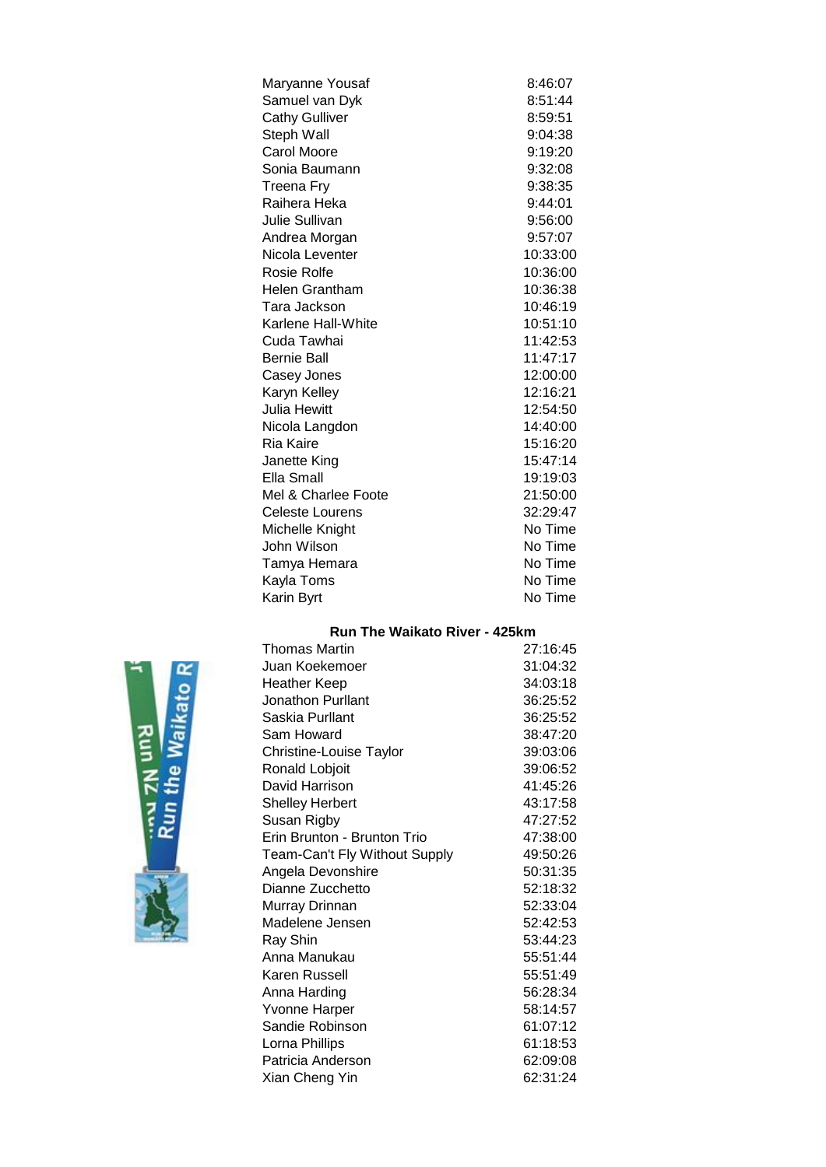| Maryanne Yousaf        | 8:46:07  |
|------------------------|----------|
| Samuel van Dyk         | 8:51:44  |
| <b>Cathy Gulliver</b>  | 8:59:51  |
| Steph Wall             | 9:04:38  |
| <b>Carol Moore</b>     | 9:19:20  |
| Sonia Baumann          | 9:32:08  |
| <b>Treena Fry</b>      | 9:38:35  |
| Raihera Heka           | 9:44:01  |
| Julie Sullivan         | 9:56:00  |
| Andrea Morgan          | 9:57:07  |
| Nicola Leventer        | 10:33:00 |
| Rosie Rolfe            | 10:36:00 |
| Helen Grantham         | 10:36:38 |
| Tara Jackson           | 10:46:19 |
| Karlene Hall-White     | 10:51:10 |
| Cuda Tawhai            | 11:42:53 |
| <b>Bernie Ball</b>     | 11:47:17 |
| Casey Jones            | 12:00:00 |
| Karyn Kelley           | 12:16:21 |
| <b>Julia Hewitt</b>    | 12:54:50 |
| Nicola Langdon         | 14:40:00 |
| Ria Kaire              | 15:16:20 |
| Janette King           | 15:47:14 |
| Ella Small             | 19:19:03 |
| Mel & Charlee Foote    | 21:50:00 |
| <b>Celeste Lourens</b> | 32:29:47 |
| Michelle Knight        | No Time  |
| John Wilson            | No Time  |
| Tamya Hemara           | No Time  |
| Kayla Toms             | No Time  |
| Karin Byrt             | No Time  |

# **Run The Waikato River - 425km**

| <b>Thomas Martin</b>          | 27:16:45 |
|-------------------------------|----------|
| Juan Koekemoer                | 31:04:32 |
| Heather Keep                  | 34:03:18 |
| Jonathon Purllant             | 36:25:52 |
| Saskia Purllant               | 36:25:52 |
| Sam Howard                    | 38:47:20 |
| Christine-Louise Taylor       | 39:03:06 |
| Ronald Lobjoit                | 39:06:52 |
| David Harrison                | 41:45:26 |
| <b>Shelley Herbert</b>        | 43:17:58 |
| Susan Rigby                   | 47:27:52 |
| Erin Brunton - Brunton Trio   | 47:38:00 |
| Team-Can't Fly Without Supply | 49:50:26 |
| Angela Devonshire             | 50:31:35 |
| Dianne Zucchetto              | 52:18:32 |
| Murray Drinnan                | 52:33:04 |
| Madelene Jensen               | 52:42:53 |
| Ray Shin                      | 53:44:23 |
| Anna Manukau                  | 55:51:44 |
| Karen Russell                 | 55:51:49 |
| Anna Harding                  | 56:28:34 |
| Yvonne Harper                 | 58:14:57 |
| Sandie Robinson               | 61:07:12 |
| Lorna Phillips                | 61:18:53 |
| Patricia Anderson             | 62:09:08 |
| Xian Cheng Yin                | 62:31:24 |
|                               |          |

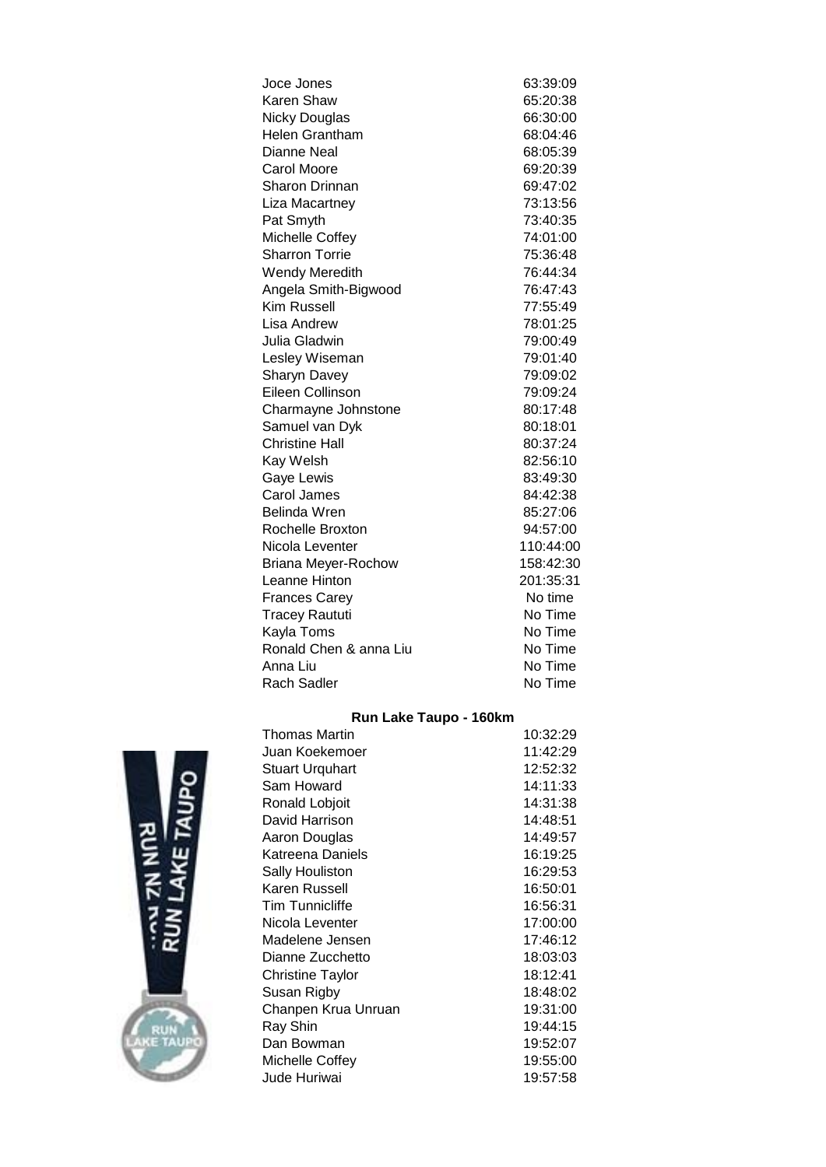| Joce Jones             | 63:39:09  |
|------------------------|-----------|
| Karen Shaw             | 65:20:38  |
| <b>Nicky Douglas</b>   | 66:30:00  |
| <b>Helen Grantham</b>  | 68:04:46  |
| Dianne Neal            | 68:05:39  |
| Carol Moore            | 69:20:39  |
| <b>Sharon Drinnan</b>  | 69:47:02  |
| Liza Macartney         | 73:13:56  |
| Pat Smyth              | 73:40:35  |
| Michelle Coffey        | 74:01:00  |
| <b>Sharron Torrie</b>  | 75:36:48  |
| Wendy Meredith         | 76:44:34  |
| Angela Smith-Bigwood   | 76:47:43  |
| <b>Kim Russell</b>     | 77:55:49  |
| Lisa Andrew            | 78:01:25  |
| Julia Gladwin          | 79:00:49  |
| Lesley Wiseman         | 79:01:40  |
| <b>Sharyn Davey</b>    | 79:09:02  |
| Eileen Collinson       | 79:09:24  |
| Charmayne Johnstone    | 80:17:48  |
| Samuel van Dyk         | 80:18:01  |
| <b>Christine Hall</b>  | 80:37:24  |
| Kay Welsh              | 82:56:10  |
| Gaye Lewis             | 83:49:30  |
| Carol James            | 84:42:38  |
| Belinda Wren           | 85:27:06  |
| Rochelle Broxton       | 94:57:00  |
| Nicola Leventer        | 110:44:00 |
| Briana Meyer-Rochow    | 158:42:30 |
| Leanne Hinton          | 201:35:31 |
| <b>Frances Carey</b>   | No time   |
| <b>Tracey Raututi</b>  | No Time   |
| Kayla Toms             | No Time   |
| Ronald Chen & anna Liu | No Time   |
| Anna Liu               | No Time   |
| <b>Rach Sadler</b>     | No Time   |

# **Run Lake Taupo - 160km**



| <b>Thomas Martin</b>   | 10:32:29 |
|------------------------|----------|
| Juan Koekemoer         | 11:42:29 |
| <b>Stuart Urquhart</b> | 12:52:32 |
| Sam Howard             | 14:11:33 |
| Ronald Lobjoit         | 14:31:38 |
| David Harrison         | 14:48:51 |
| Aaron Douglas          | 14:49:57 |
| Katreena Daniels       | 16:19:25 |
| Sally Houliston        | 16:29:53 |
| Karen Russell          | 16:50:01 |
| <b>Tim Tunnicliffe</b> | 16:56:31 |
| Nicola Leventer        | 17:00:00 |
| Madelene Jensen        | 17:46:12 |
| Dianne Zucchetto       | 18:03:03 |
| Christine Taylor       | 18:12:41 |
| Susan Rigby            | 18:48:02 |
| Chanpen Krua Unruan    | 19:31:00 |
| Ray Shin               | 19:44:15 |
| Dan Bowman             | 19:52:07 |
| Michelle Coffey        | 19:55:00 |
| Jude Huriwai           | 19:57:58 |
|                        |          |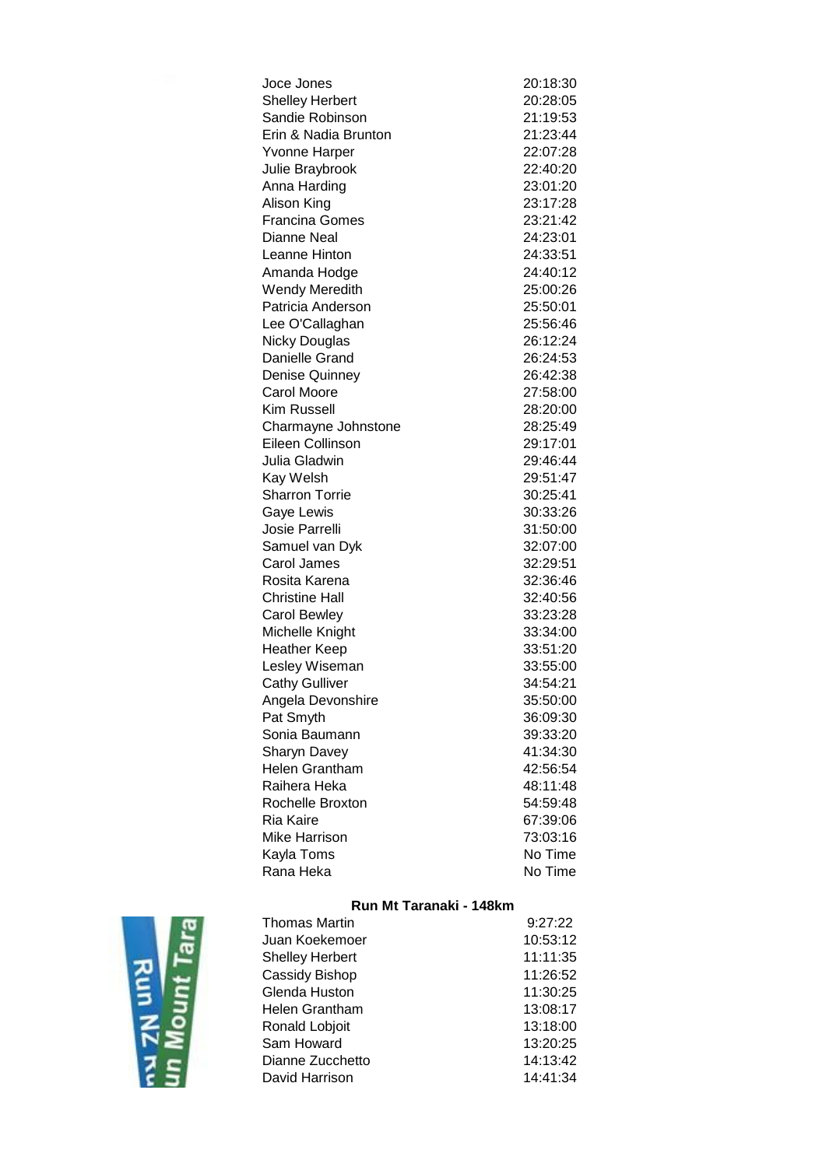| Joce Jones             | 20:18:30 |
|------------------------|----------|
| <b>Shelley Herbert</b> | 20:28:05 |
| Sandie Robinson        | 21:19:53 |
| Erin & Nadia Brunton   | 21:23:44 |
| Yvonne Harper          | 22:07:28 |
| Julie Braybrook        | 22:40:20 |
| Anna Harding           | 23:01:20 |
| Alison King            | 23:17:28 |
| <b>Francina Gomes</b>  | 23:21:42 |
| <b>Dianne Neal</b>     | 24:23:01 |
| Leanne Hinton          | 24:33:51 |
| Amanda Hodge           | 24:40:12 |
| Wendy Meredith         | 25:00:26 |
| Patricia Anderson      | 25:50:01 |
| Lee O'Callaghan        | 25:56:46 |
| <b>Nicky Douglas</b>   | 26:12:24 |
| Danielle Grand         | 26:24:53 |
| Denise Quinney         | 26:42:38 |
| <b>Carol Moore</b>     | 27:58:00 |
| Kim Russell            | 28:20:00 |
| Charmayne Johnstone    | 28:25:49 |
| Eileen Collinson       | 29:17:01 |
| Julia Gladwin          | 29:46:44 |
| Kay Welsh              | 29:51:47 |
| <b>Sharron Torrie</b>  | 30:25:41 |
| Gaye Lewis             | 30:33:26 |
| Josie Parrelli         | 31:50:00 |
| Samuel van Dyk         | 32:07:00 |
| Carol James            | 32:29:51 |
| Rosita Karena          | 32:36:46 |
| <b>Christine Hall</b>  | 32:40:56 |
| <b>Carol Bewley</b>    | 33:23:28 |
| Michelle Knight        | 33:34:00 |
| <b>Heather Keep</b>    | 33:51:20 |
| Lesley Wiseman         | 33:55:00 |
| <b>Cathy Gulliver</b>  | 34:54:21 |
| Angela Devonshire      | 35:50:00 |
| Pat Smyth              | 36:09:30 |
| Sonia Baumann          | 39:33:20 |
| <b>Sharyn Davey</b>    | 41:34:30 |
| <b>Helen Grantham</b>  | 42:56:54 |
| Raihera Heka           | 48:11:48 |
| Rochelle Broxton       | 54:59:48 |
| Ria Kaire              | 67:39:06 |
| Mike Harrison          | 73:03:16 |
| Kayla Toms             | No Time  |
| Rana Heka              | No Time  |

# **Run Mt Taranaki - 148km**



| Thomas Martin    | 9:27:22  |
|------------------|----------|
| Juan Koekemoer   | 10:53:12 |
| Shelley Herbert  | 11:11:35 |
| Cassidy Bishop   | 11:26:52 |
| Glenda Huston    | 11:30:25 |
| Helen Grantham   | 13:08:17 |
| Ronald Lobjoit   | 13:18:00 |
| Sam Howard       | 13:20:25 |
| Dianne Zucchetto | 14:13:42 |
| David Harrison   | 14:41:34 |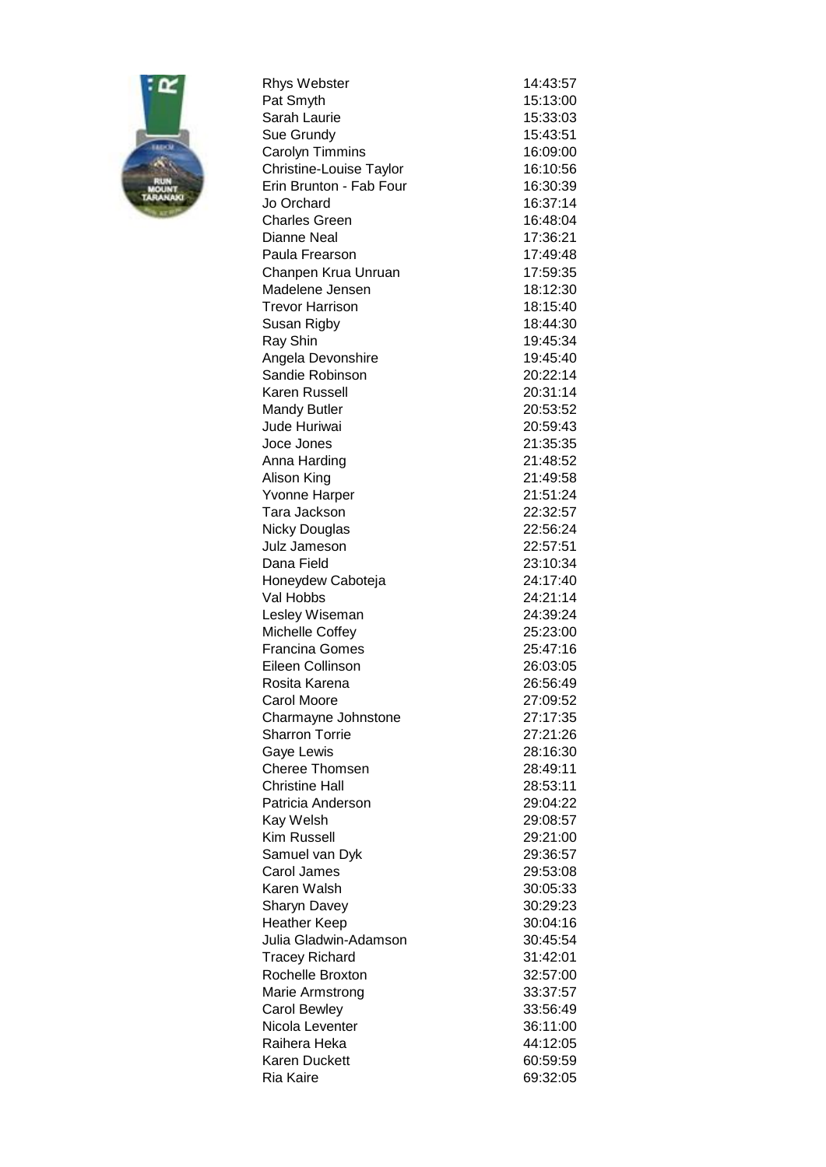

| <b>Rhys Webster</b>                    | 14:43:57             |
|----------------------------------------|----------------------|
| Pat Smyth                              | 15:13:00             |
| Sarah Laurie                           | 15:33:03             |
| Sue Grundy                             | 15:43:51             |
| Carolyn Timmins                        | 16:09:00             |
| Christine-Louise Taylor                | 16:10:56             |
| Erin Brunton - Fab Four                | 16:30:39             |
| Jo Orchard                             | 16:37:14             |
| <b>Charles Green</b>                   | 16:48:04             |
| Dianne Neal                            | 17:36:21             |
| Paula Frearson                         | 17:49:48             |
| Chanpen Krua Unruan                    | 17:59:35             |
| Madelene Jensen                        | 18:12:30             |
| Trevor Harrison                        | 18:15:40             |
| Susan Rigby                            | 18:44:30             |
| Ray Shin                               | 19:45:34             |
| Angela Devonshire                      | 19:45:40             |
| Sandie Robinson                        | 20:22:14             |
| Karen Russell                          | 20:31:14             |
| <b>Mandy Butler</b>                    | 20:53:52             |
| Jude Huriwai                           | 20:59:43             |
| Joce Jones                             | 21:35:35             |
| Anna Harding                           | 21:48:52             |
| Alison King                            | 21:49:58             |
| Yvonne Harper                          | 21:51:24             |
| Tara Jackson                           | 22:32:57             |
| <b>Nicky Douglas</b>                   | 22:56:24             |
| Julz Jameson                           | 22:57:51             |
| Dana Field                             | 23:10:34             |
| Honeydew Caboteja                      | 24:17:40             |
| Val Hobbs                              | 24:21:14             |
| Lesley Wiseman                         | 24:39:24             |
| Michelle Coffey                        | 25:23:00             |
| <b>Francina Gomes</b>                  | 25:47:16             |
| Eileen Collinson                       | 26:03:05             |
| Rosita Karena                          | 26:56:49             |
| Carol Moore                            | 27:09:52             |
| Charmayne Johnstone                    | 27:17:35             |
| <b>Sharron Torrie</b>                  | 27:21:26             |
| Gaye Lewis                             | 28:16:30             |
| <b>Cheree Thomsen</b>                  | 28:49:11             |
| <b>Christine Hall</b>                  | 28:53:11             |
| Patricia Anderson                      | 29:04:22             |
| Kay Welsh                              | 29:08:57             |
| Kim Russell                            | 29:21:00             |
| Samuel van Dyk                         | 29:36:57             |
| Carol James                            | 29:53:08             |
| Karen Walsh                            | 30:05:33             |
| <b>Sharyn Davey</b>                    | 30:29:23             |
| <b>Heather Keep</b>                    | 30:04:16             |
| Julia Gladwin-Adamson                  | 30:45:54             |
| <b>Tracey Richard</b>                  | 31:42:01             |
| Rochelle Broxton                       | 32:57:00             |
| Marie Armstrong                        | 33:37:57             |
| <b>Carol Bewley</b><br>Nicola Leventer | 33:56:49<br>36:11:00 |
| Raihera Heka                           | 44:12:05             |
| <b>Karen Duckett</b>                   | 60:59:59             |
| Ria Kaire                              | 69:32:05             |
|                                        |                      |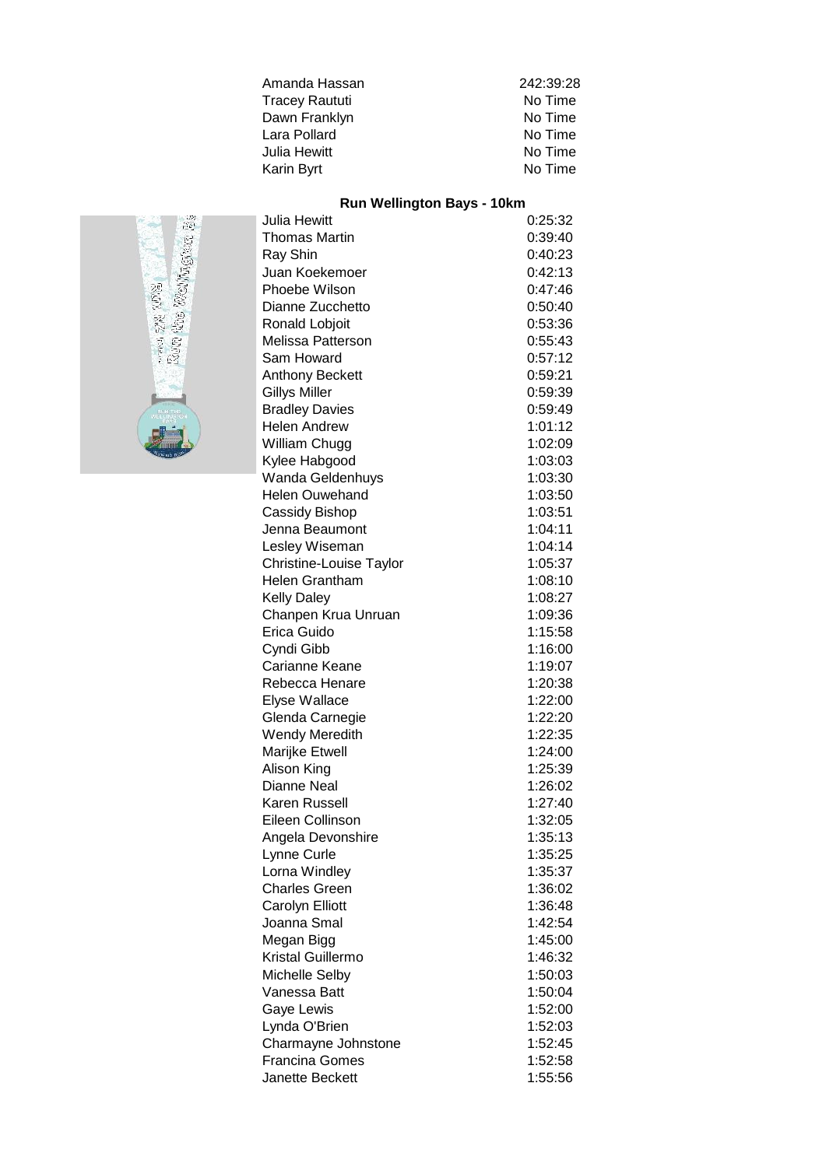| Amanda Hassan         | 242:39:28 |
|-----------------------|-----------|
| <b>Tracey Raututi</b> | No Time   |
| Dawn Franklyn         | No Time   |
| Lara Pollard          | No Time   |
| Julia Hewitt          | No Time   |
| Karin Byrt            | No Time   |
|                       |           |

#### **Run Wellington Bays - 10km**

| Julia Hewitt            | 0:25:32 |
|-------------------------|---------|
| <b>Thomas Martin</b>    | 0:39:40 |
| Ray Shin                | 0:40:23 |
| Juan Koekemoer          | 0:42:13 |
| Phoebe Wilson           | 0:47:46 |
| Dianne Zucchetto        | 0:50:40 |
| Ronald Lobjoit          | 0:53:36 |
| Melissa Patterson       | 0:55:43 |
| Sam Howard              | 0:57:12 |
| <b>Anthony Beckett</b>  | 0:59:21 |
| <b>Gillys Miller</b>    | 0:59:39 |
| <b>Bradley Davies</b>   | 0:59:49 |
| <b>Helen Andrew</b>     | 1:01:12 |
| William Chugg           | 1:02:09 |
| Kylee Habgood           | 1:03:03 |
| <b>Wanda Geldenhuys</b> | 1:03:30 |
| <b>Helen Ouwehand</b>   | 1:03:50 |
| Cassidy Bishop          | 1:03:51 |
| Jenna Beaumont          | 1:04:11 |
| Lesley Wiseman          | 1:04:14 |
| Christine-Louise Taylor | 1:05:37 |
| <b>Helen Grantham</b>   | 1:08:10 |
| <b>Kelly Daley</b>      | 1:08:27 |
| Chanpen Krua Unruan     | 1:09:36 |
| Erica Guido             | 1:15:58 |
| Cyndi Gibb              | 1:16:00 |
| Carianne Keane          | 1:19:07 |
| Rebecca Henare          | 1:20:38 |
| Elyse Wallace           | 1:22:00 |
| Glenda Carnegie         | 1:22:20 |
| Wendy Meredith          | 1:22:35 |
| Marijke Etwell          | 1:24:00 |
| Alison King             | 1:25:39 |
| <b>Dianne Neal</b>      | 1:26:02 |
| Karen Russell           | 1:27:40 |
| Eileen Collinson        | 1:32:05 |
| Angela Devonshire       | 1:35:13 |
| Lynne Curle             | 1:35:25 |
| Lorna Windley           | 1:35:37 |
| <b>Charles Green</b>    | 1:36:02 |
| Carolyn Elliott         | 1:36:48 |
| Joanna Smal             | 1:42:54 |
| Megan Bigg              | 1:45:00 |
| Kristal Guillermo       | 1:46:32 |
| Michelle Selby          | 1:50:03 |
| Vanessa Batt            | 1:50:04 |
| Gaye Lewis              | 1:52:00 |
| Lynda O'Brien           | 1:52:03 |
| Charmayne Johnstone     | 1:52:45 |
| <b>Francina Gomes</b>   | 1:52:58 |
| Janette Beckett         | 1:55:56 |
|                         |         |

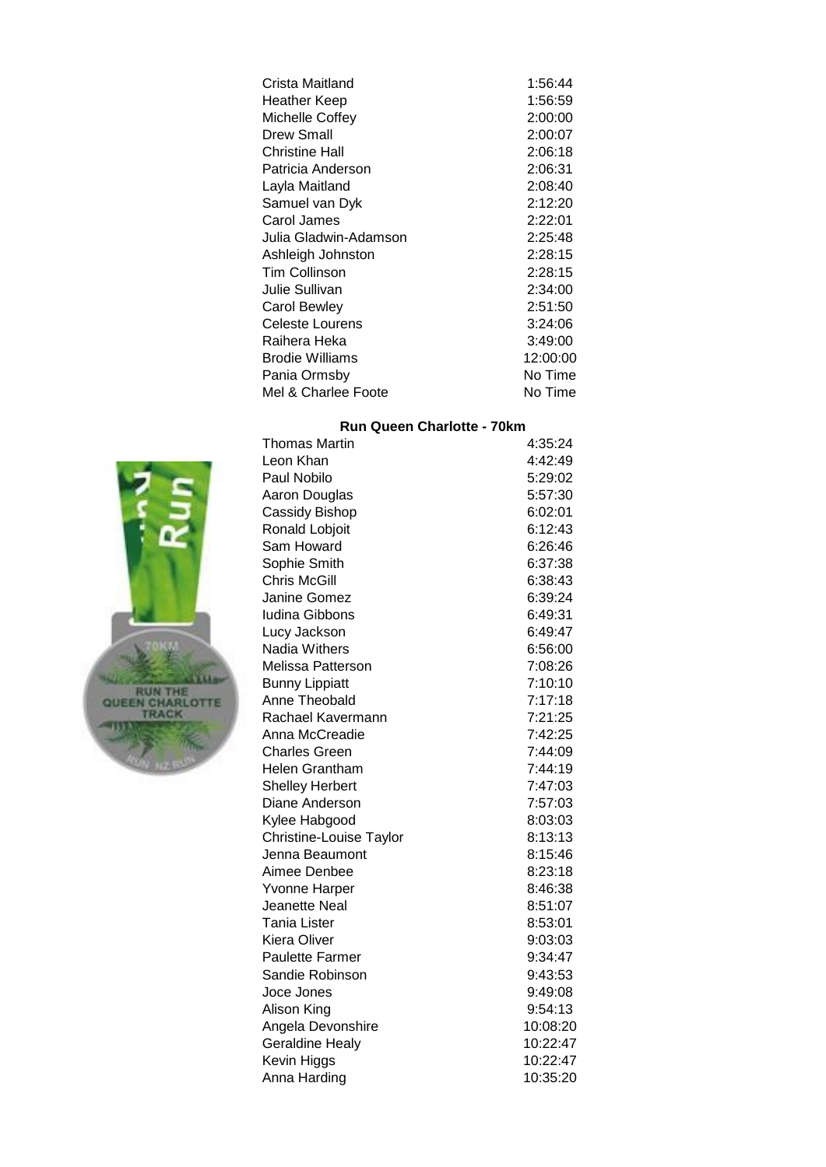| Crista Maitland       | 1:56:44  |
|-----------------------|----------|
| Heather Keep          | 1:56:59  |
| Michelle Coffey       | 2:00:00  |
| Drew Small            | 2:00:07  |
| Christine Hall        | 2:06:18  |
| Patricia Anderson     | 2:06:31  |
| Layla Maitland        | 2:08:40  |
| Samuel van Dyk        | 2:12:20  |
| Carol James           | 2:22:01  |
| Julia Gladwin-Adamson | 2:25:48  |
| Ashleigh Johnston     | 2:28:15  |
| <b>Tim Collinson</b>  | 2:28:15  |
| Julie Sullivan        | 2:34:00  |
| <b>Carol Bewley</b>   | 2:51:50  |
| Celeste Lourens       | 3:24:06  |
| Raihera Heka          | 3:49:00  |
| Brodie Williams       | 12:00:00 |
| Pania Ormsby          | No Time  |
| Mel & Charlee Foote   | No Time  |

## **Run Queen Charlotte - 70km**

| <b>Thomas Martin</b>    | 4:35:24  |
|-------------------------|----------|
| Leon Khan               | 4:42:49  |
| Paul Nobilo             | 5:29:02  |
| Aaron Douglas           | 5:57:30  |
| Cassidy Bishop          | 6:02:01  |
| Ronald Lobjoit          | 6:12:43  |
| Sam Howard              | 6:26:46  |
| Sophie Smith            | 6:37:38  |
| <b>Chris McGill</b>     | 6:38:43  |
| Janine Gomez            | 6:39:24  |
| <b>Iudina Gibbons</b>   | 6:49:31  |
| Lucy Jackson            | 6:49:47  |
| Nadia Withers           | 6:56:00  |
| Melissa Patterson       | 7:08:26  |
| <b>Bunny Lippiatt</b>   | 7:10:10  |
| Anne Theobald           | 7:17:18  |
| Rachael Kavermann       | 7:21:25  |
| Anna McCreadie          | 7:42:25  |
| <b>Charles Green</b>    | 7:44:09  |
| <b>Helen Grantham</b>   | 7:44:19  |
| <b>Shelley Herbert</b>  | 7:47:03  |
| Diane Anderson          | 7:57:03  |
| Kylee Habgood           | 8:03:03  |
| Christine-Louise Taylor | 8:13:13  |
| Jenna Beaumont          | 8:15:46  |
| Aimee Denbee            | 8:23:18  |
| Yvonne Harper           | 8:46:38  |
| Jeanette Neal           | 8:51:07  |
| Tania Lister            | 8:53:01  |
| Kiera Oliver            | 9:03:03  |
| <b>Paulette Farmer</b>  | 9:34:47  |
| Sandie Robinson         | 9:43:53  |
| Joce Jones              | 9:49:08  |
| Alison King             | 9:54:13  |
| Angela Devonshire       | 10:08:20 |
| <b>Geraldine Healy</b>  | 10:22:47 |
| Kevin Higgs             | 10:22:47 |
| Anna Harding            | 10:35:20 |

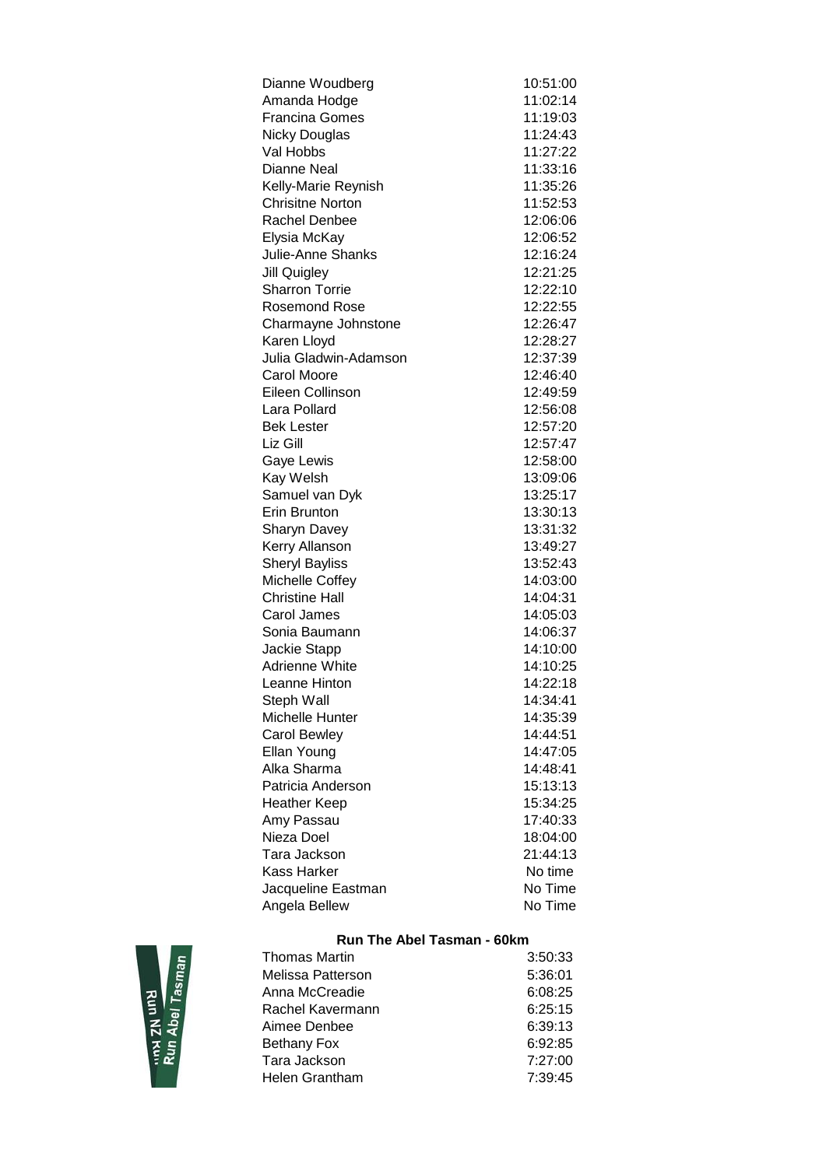| Dianne Woudberg          | 10:51:00 |
|--------------------------|----------|
| Amanda Hodge             | 11:02:14 |
| <b>Francina Gomes</b>    | 11:19:03 |
| Nicky Douglas            | 11:24:43 |
| Val Hobbs                | 11:27:22 |
| <b>Dianne Neal</b>       | 11:33:16 |
| Kelly-Marie Reynish      | 11:35:26 |
| <b>Chrisitne Norton</b>  | 11:52:53 |
| <b>Rachel Denbee</b>     | 12:06:06 |
| Elysia McKay             | 12:06:52 |
| <b>Julie-Anne Shanks</b> | 12:16:24 |
| <b>Jill Quigley</b>      | 12:21:25 |
| <b>Sharron Torrie</b>    | 12:22:10 |
| <b>Rosemond Rose</b>     | 12:22:55 |
| Charmayne Johnstone      | 12:26:47 |
| Karen Lloyd              | 12:28:27 |
| Julia Gladwin-Adamson    | 12:37:39 |
| <b>Carol Moore</b>       | 12:46:40 |
| Eileen Collinson         | 12:49:59 |
| Lara Pollard             | 12:56:08 |
| <b>Bek Lester</b>        | 12:57:20 |
| Liz Gill                 | 12:57:47 |
| Gaye Lewis               | 12:58:00 |
| Kay Welsh                | 13:09:06 |
| Samuel van Dyk           | 13:25:17 |
| Erin Brunton             | 13:30:13 |
| <b>Sharyn Davey</b>      | 13:31:32 |
| Kerry Allanson           | 13:49:27 |
| <b>Sheryl Bayliss</b>    | 13:52:43 |
| Michelle Coffey          | 14:03:00 |
| Christine Hall           | 14:04:31 |
| Carol James              | 14:05:03 |
| Sonia Baumann            | 14:06:37 |
| Jackie Stapp             | 14:10:00 |
| Adrienne White           | 14:10:25 |
| Leanne Hinton            | 14:22:18 |
| Steph Wall               | 14:34:41 |
| Michelle Hunter          | 14:35:39 |
| <b>Carol Bewley</b>      | 14:44:51 |
| Ellan Young              | 14:47:05 |
| Alka Sharma              | 14:48:41 |
| Patricia Anderson        | 15:13:13 |
| <b>Heather Keep</b>      | 15:34:25 |
| Amy Passau               | 17:40:33 |
| Nieza Doel               | 18:04:00 |
| Tara Jackson             | 21:44:13 |
| Kass Harker              | No time  |
| Jacqueline Eastman       | No Time  |
| Angela Bellew            | No Time  |



# **Run The Abel Tasman - 60km**

| Thomas Martin     | 3:50:33 |
|-------------------|---------|
| Melissa Patterson | 5:36:01 |
| Anna McCreadie    | 6:08:25 |
| Rachel Kavermann  | 6:25:15 |
| Aimee Denbee      | 6:39:13 |
| Bethany Fox       | 6:92:85 |
| Tara Jackson      | 7:27:00 |
| Helen Grantham    | 7:39:45 |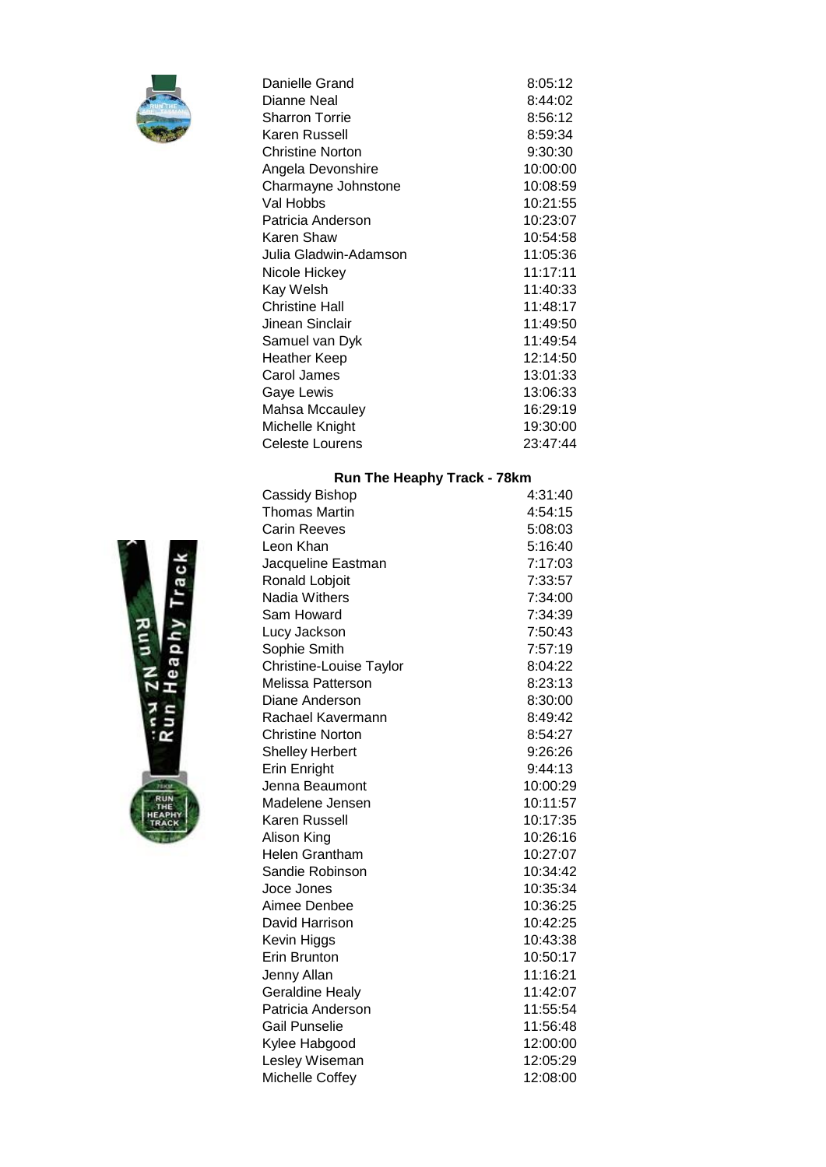

| Danielle Grand          | 8:05:12  |
|-------------------------|----------|
| Dianne Neal             | 8:44:02  |
| <b>Sharron Torrie</b>   | 8:56:12  |
| Karen Russell           | 8:59:34  |
| <b>Christine Norton</b> | 9:30:30  |
| Angela Devonshire       | 10:00:00 |
| Charmayne Johnstone     | 10:08:59 |
| Val Hobbs               | 10:21:55 |
| Patricia Anderson       | 10:23:07 |
| Karen Shaw              | 10:54:58 |
| Julia Gladwin-Adamson   | 11:05:36 |
| Nicole Hickey           | 11:17:11 |
| Kay Welsh               | 11:40:33 |
| <b>Christine Hall</b>   | 11:48:17 |
| Jinean Sinclair         | 11:49:50 |
| Samuel van Dyk          | 11:49:54 |
| Heather Keep            | 12:14:50 |
| Carol James             | 13:01:33 |
| Gaye Lewis              | 13:06:33 |
| <b>Mahsa Mccauley</b>   | 16:29:19 |
| Michelle Knight         | 19:30:00 |
| Celeste Lourens         | 23:47:44 |

# **Run The Heaphy Track - 78km**

| Cassidy Bishop          | 4:31:40  |
|-------------------------|----------|
| <b>Thomas Martin</b>    | 4:54:15  |
| <b>Carin Reeves</b>     | 5:08:03  |
| Leon Khan               | 5:16:40  |
| Jacqueline Eastman      | 7:17:03  |
| Ronald Lobjoit          | 7:33:57  |
| Nadia Withers           | 7:34:00  |
| Sam Howard              | 7:34:39  |
| Lucy Jackson            | 7:50:43  |
| Sophie Smith            | 7:57:19  |
| Christine-Louise Taylor | 8:04:22  |
| Melissa Patterson       | 8:23:13  |
| Diane Anderson          | 8:30:00  |
| Rachael Kavermann       | 8:49:42  |
| <b>Christine Norton</b> | 8:54:27  |
| <b>Shelley Herbert</b>  | 9:26:26  |
| Erin Enright            | 9:44:13  |
| Jenna Beaumont          | 10:00:29 |
| Madelene Jensen         | 10:11:57 |
| Karen Russell           | 10:17:35 |
| Alison King             | 10:26:16 |
| <b>Helen Grantham</b>   | 10:27:07 |
| Sandie Robinson         | 10:34:42 |
| Joce Jones              | 10:35:34 |
| Aimee Denbee            | 10:36:25 |
| David Harrison          | 10:42:25 |
| Kevin Higgs             | 10:43:38 |
| Erin Brunton            | 10:50:17 |
| Jenny Allan             | 11:16:21 |
| <b>Geraldine Healy</b>  | 11:42:07 |
| Patricia Anderson       | 11:55:54 |
| Gail Punselie           | 11:56:48 |
| Kylee Habgood           | 12:00:00 |
| Lesley Wiseman          | 12:05:29 |
| Michelle Coffey         | 12:08:00 |
|                         |          |

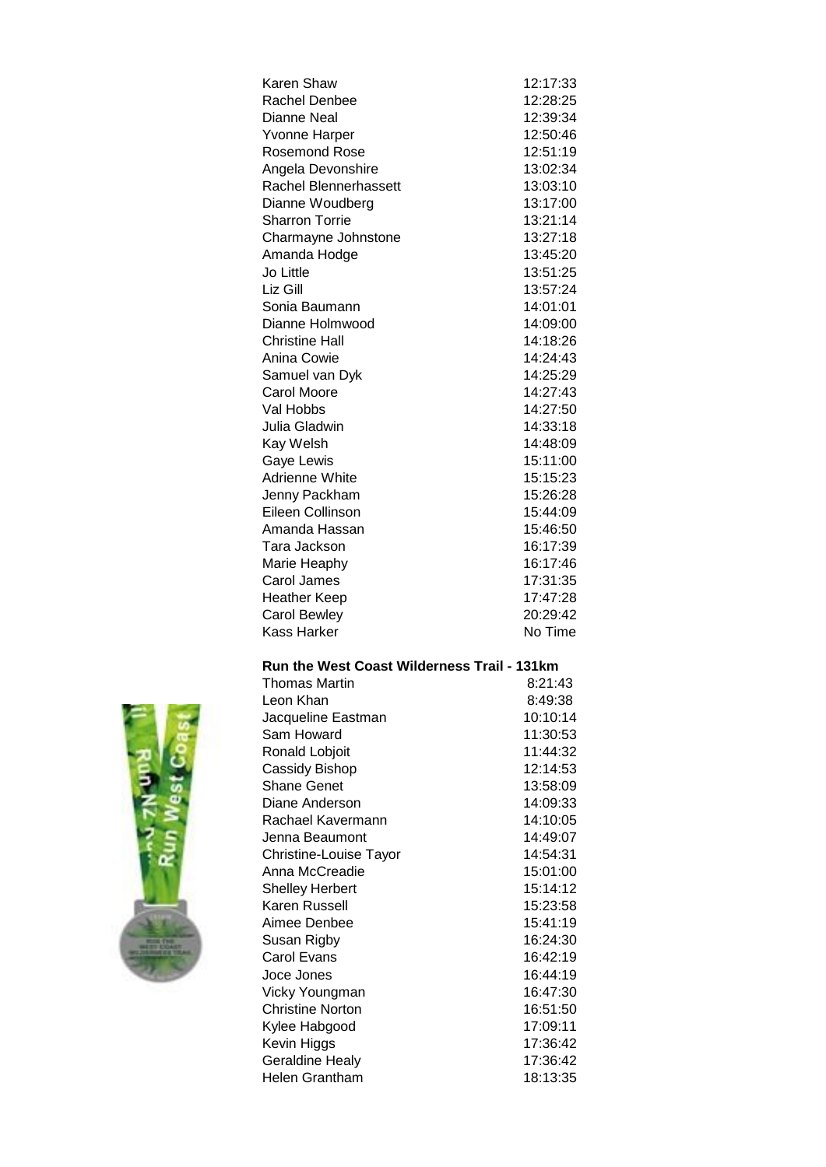| Karen Shaw            | 12:17:33 |
|-----------------------|----------|
| Rachel Denbee         | 12:28:25 |
| Dianne Neal           | 12:39:34 |
| <b>Yvonne Harper</b>  | 12:50:46 |
| <b>Rosemond Rose</b>  | 12:51:19 |
| Angela Devonshire     | 13:02:34 |
| Rachel Blennerhassett | 13:03:10 |
| Dianne Woudberg       | 13:17:00 |
| Sharron Torrie        | 13:21:14 |
| Charmayne Johnstone   | 13:27:18 |
| Amanda Hodge          | 13:45:20 |
| Jo Little             | 13:51:25 |
| Liz Gill              | 13:57:24 |
| Sonia Baumann         | 14:01:01 |
| Dianne Holmwood       | 14:09:00 |
| Christine Hall        | 14:18:26 |
| Anina Cowie           | 14:24:43 |
| Samuel van Dyk        | 14:25:29 |
| Carol Moore           | 14:27:43 |
| Val Hobbs             | 14:27:50 |
| Julia Gladwin         | 14:33:18 |
| Kay Welsh             | 14:48:09 |
| Gaye Lewis            | 15:11:00 |
| Adrienne White        | 15:15:23 |
| Jenny Packham         | 15:26:28 |
| Eileen Collinson      | 15:44:09 |
| Amanda Hassan         | 15:46:50 |
| Tara Jackson          | 16:17:39 |
| Marie Heaphy          | 16:17:46 |
| Carol James           | 17:31:35 |
| <b>Heather Keep</b>   | 17:47:28 |
| <b>Carol Bewley</b>   | 20:29:42 |
| Kass Harker           | No Time  |

## **Run the West Coast Wilderness Trail - 131km**

| Thomas Martin          | 8:21:43  |
|------------------------|----------|
| Leon Khan              | 8:49:38  |
| Jacqueline Eastman     | 10:10:14 |
| Sam Howard             | 11:30:53 |
| Ronald Lobjoit         | 11:44:32 |
| Cassidy Bishop         | 12:14:53 |
| <b>Shane Genet</b>     | 13:58:09 |
| Diane Anderson         | 14:09:33 |
| Rachael Kavermann      | 14:10:05 |
| Jenna Beaumont         | 14:49:07 |
| Christine-Louise Tayor | 14:54:31 |
| Anna McCreadie         | 15:01:00 |
| <b>Shelley Herbert</b> | 15:14:12 |
| Karen Russell          | 15:23:58 |
| Aimee Denbee           | 15:41:19 |
| Susan Rigby            | 16:24:30 |
| Carol Evans            | 16:42:19 |
| Joce Jones             | 16:44:19 |
| Vicky Youngman         | 16:47:30 |
| Christine Norton       | 16:51:50 |
| Kylee Habgood          | 17:09:11 |
| Kevin Higgs            | 17:36:42 |
| <b>Geraldine Healy</b> | 17:36:42 |
| Helen Grantham         | 18:13:35 |
|                        |          |

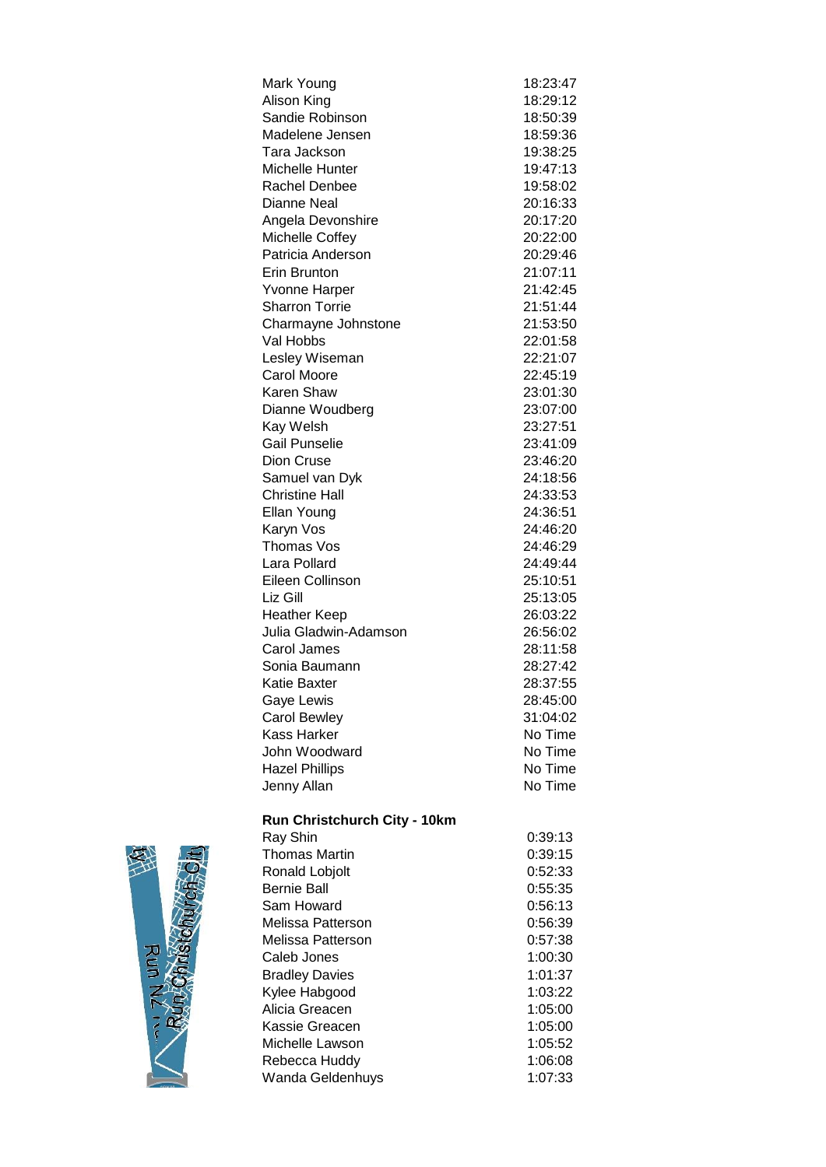| Mark Young            | 18:23:47 |
|-----------------------|----------|
| Alison King           | 18:29:12 |
| Sandie Robinson       | 18:50:39 |
| Madelene Jensen       | 18:59:36 |
| Tara Jackson          | 19:38:25 |
| Michelle Hunter       | 19:47:13 |
| <b>Rachel Denbee</b>  | 19:58:02 |
| Dianne Neal           | 20:16:33 |
| Angela Devonshire     | 20:17:20 |
| Michelle Coffey       | 20:22:00 |
| Patricia Anderson     | 20:29:46 |
| Erin Brunton          | 21:07:11 |
| Yvonne Harper         | 21:42:45 |
| <b>Sharron Torrie</b> | 21:51:44 |
| Charmayne Johnstone   | 21:53:50 |
| Val Hobbs             | 22:01:58 |
| Lesley Wiseman        | 22:21:07 |
| <b>Carol Moore</b>    | 22:45:19 |
| Karen Shaw            | 23:01:30 |
| Dianne Woudberg       | 23:07:00 |
| Kay Welsh             | 23:27:51 |
| <b>Gail Punselie</b>  | 23:41:09 |
| Dion Cruse            | 23:46:20 |
| Samuel van Dyk        | 24:18:56 |
| <b>Christine Hall</b> | 24:33:53 |
| Ellan Young           | 24:36:51 |
| Karyn Vos             | 24:46:20 |
| Thomas Vos            | 24:46:29 |
| Lara Pollard          | 24:49:44 |
| Eileen Collinson      | 25:10:51 |
| Liz Gill              | 25:13:05 |
| <b>Heather Keep</b>   | 26:03:22 |
| Julia Gladwin-Adamson | 26:56:02 |
| Carol James           | 28:11:58 |
| Sonia Baumann         | 28:27:42 |
| Katie Baxter          | 28:37:55 |
| Gaye Lewis            | 28:45:00 |
| <b>Carol Bewley</b>   | 31:04:02 |
| <b>Kass Harker</b>    | No Time  |
| John Woodward         | No Time  |
| <b>Hazel Phillips</b> | No Time  |
| Jenny Allan           | No Time  |
|                       |          |

# **Run Christchurch City - 10km**

| Ray Shin              | 0:39:13 |
|-----------------------|---------|
| <b>Thomas Martin</b>  | 0:39:15 |
| Ronald Lobjolt        | 0:52:33 |
| Bernie Ball           | 0:55:35 |
| Sam Howard            | 0:56:13 |
| Melissa Patterson     | 0:56:39 |
| Melissa Patterson     | 0:57:38 |
| Caleb Jones           | 1:00:30 |
| <b>Bradley Davies</b> | 1:01:37 |
| Kylee Habgood         | 1:03:22 |
| Alicia Greacen        | 1:05:00 |
| Kassie Greacen        | 1:05:00 |
| Michelle Lawson       | 1:05:52 |
| Rebecca Huddy         | 1:06:08 |
| Wanda Geldenhuys      | 1:07:33 |

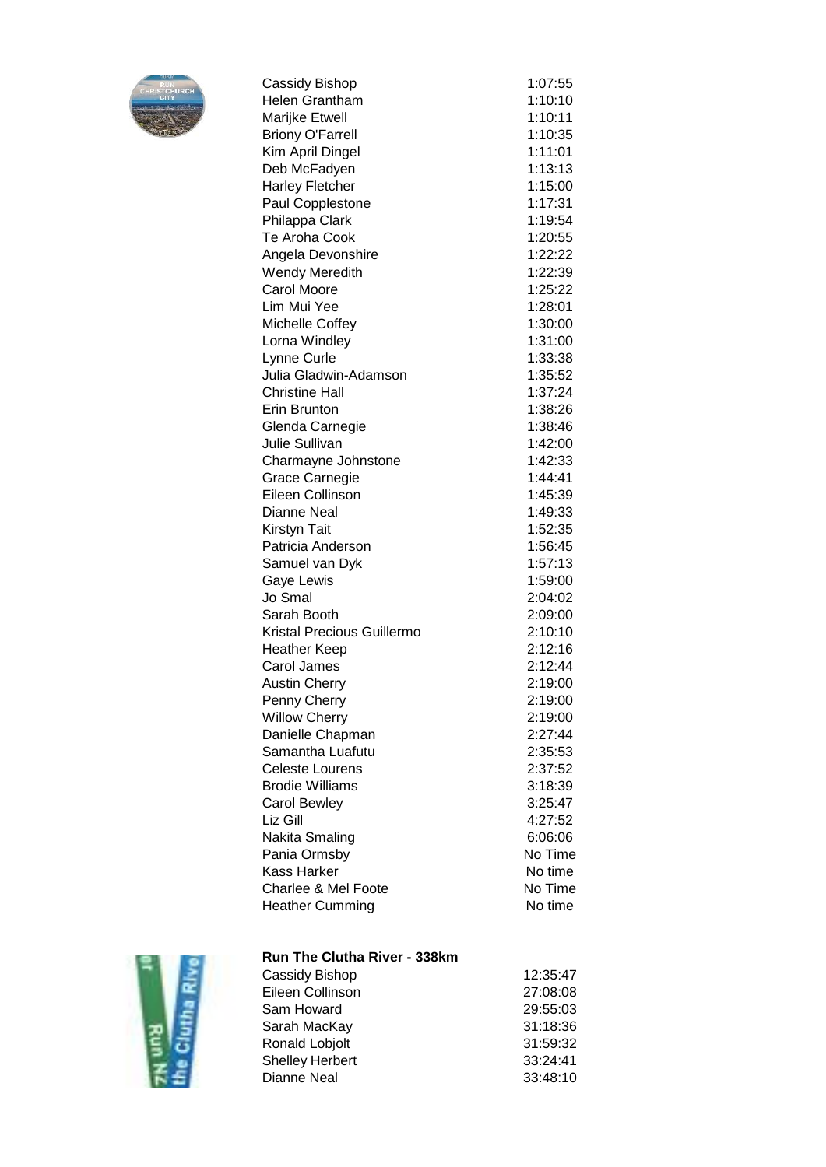

| Cassidy Bishop                    | 1:07:55 |
|-----------------------------------|---------|
| <b>Helen Grantham</b>             | 1:10:10 |
| Marijke Etwell                    | 1:10:11 |
| <b>Briony O'Farrell</b>           | 1:10:35 |
| Kim April Dingel                  | 1:11:01 |
| Deb McFadyen                      | 1:13:13 |
| <b>Harley Fletcher</b>            | 1:15:00 |
| Paul Copplestone                  | 1:17:31 |
| Philappa Clark                    | 1:19:54 |
| <b>Te Aroha Cook</b>              | 1:20:55 |
| Angela Devonshire                 | 1:22:22 |
| Wendy Meredith                    | 1:22:39 |
| <b>Carol Moore</b>                | 1:25:22 |
| Lim Mui Yee                       | 1:28:01 |
| Michelle Coffey                   | 1:30:00 |
| Lorna Windley                     | 1:31:00 |
| Lynne Curle                       | 1:33:38 |
| Julia Gladwin-Adamson             | 1:35:52 |
| <b>Christine Hall</b>             | 1:37:24 |
| Erin Brunton                      | 1:38:26 |
| Glenda Carnegie                   | 1:38:46 |
| <b>Julie Sullivan</b>             | 1:42:00 |
| Charmayne Johnstone               | 1:42:33 |
| Grace Carnegie                    | 1:44:41 |
| Eileen Collinson                  | 1:45:39 |
| Dianne Neal                       | 1:49:33 |
| Kirstyn Tait                      | 1:52:35 |
| Patricia Anderson                 | 1:56:45 |
| Samuel van Dyk                    | 1:57:13 |
| Gaye Lewis                        | 1:59:00 |
| Jo Smal                           | 2:04:02 |
| Sarah Booth                       | 2:09:00 |
| <b>Kristal Precious Guillermo</b> | 2:10:10 |
| <b>Heather Keep</b>               | 2:12:16 |
| <b>Carol James</b>                | 2:12:44 |
| <b>Austin Cherry</b>              | 2:19:00 |
| Penny Cherry                      | 2:19:00 |
| <b>Willow Cherry</b>              | 2:19:00 |
| Danielle Chapman                  | 2:27:44 |
| Samantha Luafutu                  | 2:35:53 |
| <b>Celeste Lourens</b>            | 2:37:52 |
| <b>Brodie Williams</b>            | 3:18:39 |
| <b>Carol Bewley</b>               | 3:25:47 |
| Liz Gill                          | 4:27:52 |
| Nakita Smaling                    | 6:06:06 |
| Pania Ormsby                      | No Time |
| <b>Kass Harker</b>                | No time |
| <b>Charlee &amp; Mel Foote</b>    | No Time |
| <b>Heather Cumming</b>            | No time |



# **Run The Clutha River - 338km**

| Cassidy Bishop        | 12:35:47 |
|-----------------------|----------|
| Eileen Collinson      | 27:08:08 |
| Sam Howard            | 29:55:03 |
| Sarah MacKay          | 31:18:36 |
| <b>Ronald Lobjolt</b> | 31:59:32 |
| Shelley Herbert       | 33:24:41 |
| Dianne Neal           | 33:48:10 |
|                       |          |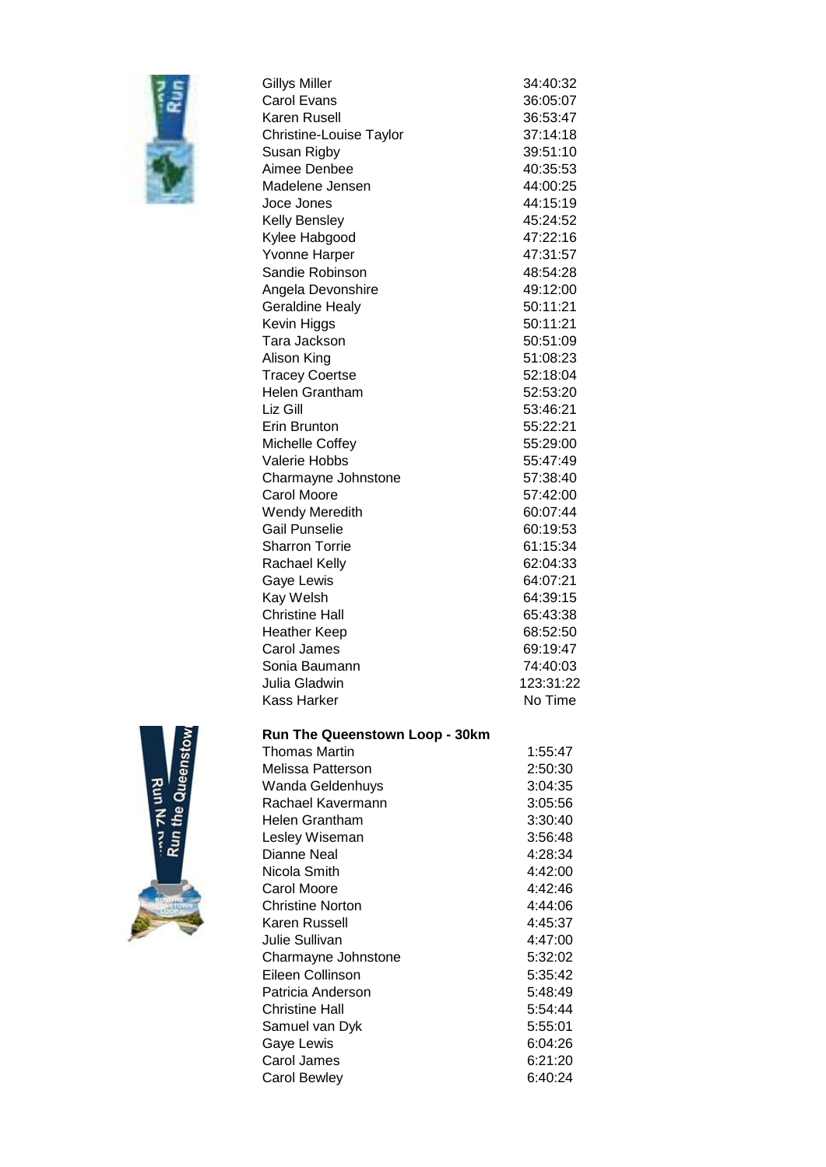

| <b>Gillys Miller</b>    | 34:40:32  |
|-------------------------|-----------|
| Carol Evans             | 36:05:07  |
| <b>Karen Rusell</b>     | 36:53:47  |
| Christine-Louise Taylor | 37:14:18  |
| Susan Rigby             | 39:51:10  |
| Aimee Denbee            | 40:35:53  |
| Madelene Jensen         | 44:00:25  |
| Joce Jones              | 44:15:19  |
| Kelly Bensley           | 45:24:52  |
| Kylee Habgood           | 47:22:16  |
| <b>Yvonne Harper</b>    | 47:31:57  |
| Sandie Robinson         | 48:54:28  |
| Angela Devonshire       | 49:12:00  |
| <b>Geraldine Healy</b>  | 50:11:21  |
| Kevin Higgs             | 50:11:21  |
| Tara Jackson            | 50:51:09  |
| Alison King             | 51:08:23  |
| <b>Tracey Coertse</b>   | 52:18:04  |
| Helen Grantham          | 52:53:20  |
| Liz Gill                | 53:46:21  |
| Erin Brunton            | 55:22:21  |
| <b>Michelle Coffey</b>  | 55:29:00  |
| Valerie Hobbs           | 55:47:49  |
| Charmayne Johnstone     | 57:38:40  |
| <b>Carol Moore</b>      | 57:42:00  |
| <b>Wendy Meredith</b>   | 60:07:44  |
| <b>Gail Punselie</b>    | 60:19:53  |
| <b>Sharron Torrie</b>   | 61:15:34  |
| Rachael Kelly           | 62:04:33  |
| Gaye Lewis              | 64:07:21  |
| Kay Welsh               | 64:39:15  |
| <b>Christine Hall</b>   | 65:43:38  |
| <b>Heather Keep</b>     | 68:52:50  |
| Carol James             | 69:19:47  |
| Sonia Baumann           | 74:40:03  |
| Julia Gladwin           | 123:31:22 |
| <b>Kass Harker</b>      | No Time   |
|                         |           |



|  | <b>Run The Queenstown Loop - 30km</b> |  |  |
|--|---------------------------------------|--|--|
|--|---------------------------------------|--|--|

| Thomas Martin           | 1:55:47 |
|-------------------------|---------|
| Melissa Patterson       | 2:50:30 |
| Wanda Geldenhuys        | 3:04:35 |
| Rachael Kavermann       | 3:05:56 |
| <b>Helen Grantham</b>   | 3:30:40 |
| Lesley Wiseman          | 3:56:48 |
| Dianne Neal             | 4:28:34 |
| Nicola Smith            | 4:42:00 |
| Carol Moore             | 4:42:46 |
| <b>Christine Norton</b> | 4:44:06 |
| Karen Russell           | 4:45:37 |
| Julie Sullivan          | 4:47:00 |
| Charmayne Johnstone     | 5:32:02 |
| Eileen Collinson        | 5:35:42 |
| Patricia Anderson       | 5:48:49 |
| <b>Christine Hall</b>   | 5:54:44 |
| Samuel van Dyk          | 5:55:01 |
| Gaye Lewis              | 6:04:26 |
| Carol James             | 6:21:20 |
| Carol Bewley            | 6:40:24 |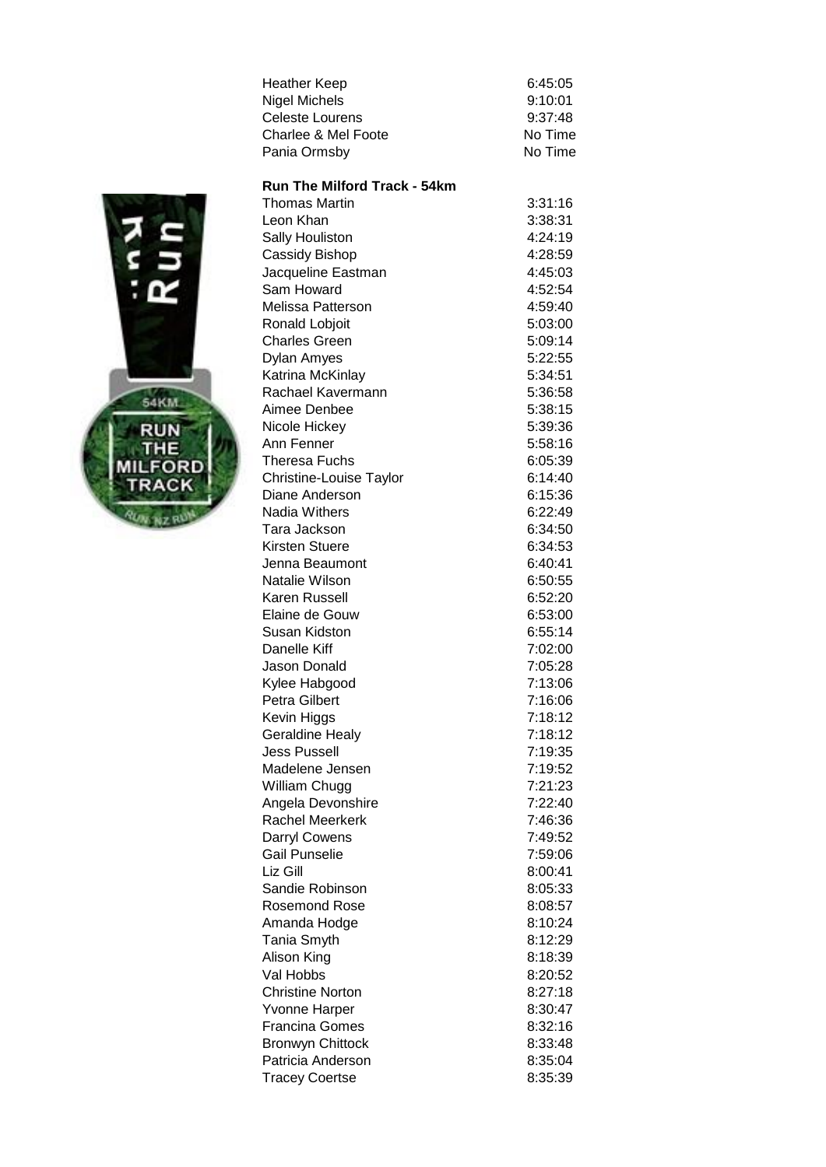| 6:45:05 |
|---------|
| 9:10:01 |
| 9:37:48 |
| No Time |
| No Time |
|         |



| <b>Thomas Martin</b><br>3:31:16<br>Leon Khan<br>3:38:31<br>Sally Houliston<br>4:24:19<br>Cassidy Bishop<br>4:28:59<br>Jacqueline Eastman<br>4:45:03<br>Sam Howard<br>4:52:54<br>Melissa Patterson<br>4:59:40<br>Ronald Lobjoit<br>5:03:00<br><b>Charles Green</b><br>5:09:14<br>Dylan Amyes<br>5:22:55<br>Katrina McKinlay<br>5:34:51<br>Rachael Kavermann<br>5:36:58<br>Aimee Denbee<br>5:38:15<br>Nicole Hickey<br>5:39:36<br>5:58:16<br><b>Theresa Fuchs</b><br>6:05:39<br>6:14:40<br>Diane Anderson<br>6:15:36<br>6:22:49<br>Tara Jackson<br>6:34:50<br><b>Kirsten Stuere</b><br>6:34:53<br>6:40:41<br>Jenna Beaumont<br>Natalie Wilson<br>6:50:55<br>Karen Russell<br>6:52:20<br>Elaine de Gouw<br>6:53:00<br><b>Susan Kidston</b><br>6:55:14<br>Danelle Kiff<br>7:02:00<br>Jason Donald<br>7:05:28<br>7:13:06<br><b>Petra Gilbert</b><br>7:16:06<br>7:18:12<br>7:18:12<br><b>Jess Pussell</b><br>7:19:35<br>7:19:52<br>7:21:23<br>William Chugg<br>7:22:40<br>Rachel Meerkerk<br>7:46:36<br><b>Darryl Cowens</b><br>7:49:52<br><b>Gail Punselie</b><br>7:59:06<br>Liz Gill<br>8:00:41<br>Sandie Robinson<br>8:05:33<br>8:08:57<br><b>Rosemond Rose</b><br>Amanda Hodge<br>8:10:24<br>Tania Smyth<br>8:12:29<br>8:18:39<br>Alison King<br>8:20:52<br>Val Hobbs<br><b>Christine Norton</b><br>8:27:18<br>8:30:47<br><b>Yvonne Harper</b><br><b>Francina Gomes</b><br>8:32:16<br><b>Bronwyn Chittock</b><br>8:33:48 |                                  |  |
|------------------------------------------------------------------------------------------------------------------------------------------------------------------------------------------------------------------------------------------------------------------------------------------------------------------------------------------------------------------------------------------------------------------------------------------------------------------------------------------------------------------------------------------------------------------------------------------------------------------------------------------------------------------------------------------------------------------------------------------------------------------------------------------------------------------------------------------------------------------------------------------------------------------------------------------------------------------------------------------------------------------------------------------------------------------------------------------------------------------------------------------------------------------------------------------------------------------------------------------------------------------------------------------------------------------------------------------------------------------------------------------------------------------------|----------------------------------|--|
|                                                                                                                                                                                                                                                                                                                                                                                                                                                                                                                                                                                                                                                                                                                                                                                                                                                                                                                                                                                                                                                                                                                                                                                                                                                                                                                                                                                                                        |                                  |  |
|                                                                                                                                                                                                                                                                                                                                                                                                                                                                                                                                                                                                                                                                                                                                                                                                                                                                                                                                                                                                                                                                                                                                                                                                                                                                                                                                                                                                                        |                                  |  |
|                                                                                                                                                                                                                                                                                                                                                                                                                                                                                                                                                                                                                                                                                                                                                                                                                                                                                                                                                                                                                                                                                                                                                                                                                                                                                                                                                                                                                        |                                  |  |
|                                                                                                                                                                                                                                                                                                                                                                                                                                                                                                                                                                                                                                                                                                                                                                                                                                                                                                                                                                                                                                                                                                                                                                                                                                                                                                                                                                                                                        |                                  |  |
|                                                                                                                                                                                                                                                                                                                                                                                                                                                                                                                                                                                                                                                                                                                                                                                                                                                                                                                                                                                                                                                                                                                                                                                                                                                                                                                                                                                                                        |                                  |  |
|                                                                                                                                                                                                                                                                                                                                                                                                                                                                                                                                                                                                                                                                                                                                                                                                                                                                                                                                                                                                                                                                                                                                                                                                                                                                                                                                                                                                                        |                                  |  |
|                                                                                                                                                                                                                                                                                                                                                                                                                                                                                                                                                                                                                                                                                                                                                                                                                                                                                                                                                                                                                                                                                                                                                                                                                                                                                                                                                                                                                        |                                  |  |
|                                                                                                                                                                                                                                                                                                                                                                                                                                                                                                                                                                                                                                                                                                                                                                                                                                                                                                                                                                                                                                                                                                                                                                                                                                                                                                                                                                                                                        |                                  |  |
|                                                                                                                                                                                                                                                                                                                                                                                                                                                                                                                                                                                                                                                                                                                                                                                                                                                                                                                                                                                                                                                                                                                                                                                                                                                                                                                                                                                                                        |                                  |  |
|                                                                                                                                                                                                                                                                                                                                                                                                                                                                                                                                                                                                                                                                                                                                                                                                                                                                                                                                                                                                                                                                                                                                                                                                                                                                                                                                                                                                                        |                                  |  |
|                                                                                                                                                                                                                                                                                                                                                                                                                                                                                                                                                                                                                                                                                                                                                                                                                                                                                                                                                                                                                                                                                                                                                                                                                                                                                                                                                                                                                        |                                  |  |
|                                                                                                                                                                                                                                                                                                                                                                                                                                                                                                                                                                                                                                                                                                                                                                                                                                                                                                                                                                                                                                                                                                                                                                                                                                                                                                                                                                                                                        |                                  |  |
|                                                                                                                                                                                                                                                                                                                                                                                                                                                                                                                                                                                                                                                                                                                                                                                                                                                                                                                                                                                                                                                                                                                                                                                                                                                                                                                                                                                                                        |                                  |  |
|                                                                                                                                                                                                                                                                                                                                                                                                                                                                                                                                                                                                                                                                                                                                                                                                                                                                                                                                                                                                                                                                                                                                                                                                                                                                                                                                                                                                                        |                                  |  |
|                                                                                                                                                                                                                                                                                                                                                                                                                                                                                                                                                                                                                                                                                                                                                                                                                                                                                                                                                                                                                                                                                                                                                                                                                                                                                                                                                                                                                        | Ann Fenner                       |  |
|                                                                                                                                                                                                                                                                                                                                                                                                                                                                                                                                                                                                                                                                                                                                                                                                                                                                                                                                                                                                                                                                                                                                                                                                                                                                                                                                                                                                                        |                                  |  |
|                                                                                                                                                                                                                                                                                                                                                                                                                                                                                                                                                                                                                                                                                                                                                                                                                                                                                                                                                                                                                                                                                                                                                                                                                                                                                                                                                                                                                        | Christine-Louise Taylor          |  |
|                                                                                                                                                                                                                                                                                                                                                                                                                                                                                                                                                                                                                                                                                                                                                                                                                                                                                                                                                                                                                                                                                                                                                                                                                                                                                                                                                                                                                        |                                  |  |
|                                                                                                                                                                                                                                                                                                                                                                                                                                                                                                                                                                                                                                                                                                                                                                                                                                                                                                                                                                                                                                                                                                                                                                                                                                                                                                                                                                                                                        | Nadia Withers                    |  |
|                                                                                                                                                                                                                                                                                                                                                                                                                                                                                                                                                                                                                                                                                                                                                                                                                                                                                                                                                                                                                                                                                                                                                                                                                                                                                                                                                                                                                        |                                  |  |
|                                                                                                                                                                                                                                                                                                                                                                                                                                                                                                                                                                                                                                                                                                                                                                                                                                                                                                                                                                                                                                                                                                                                                                                                                                                                                                                                                                                                                        |                                  |  |
|                                                                                                                                                                                                                                                                                                                                                                                                                                                                                                                                                                                                                                                                                                                                                                                                                                                                                                                                                                                                                                                                                                                                                                                                                                                                                                                                                                                                                        |                                  |  |
|                                                                                                                                                                                                                                                                                                                                                                                                                                                                                                                                                                                                                                                                                                                                                                                                                                                                                                                                                                                                                                                                                                                                                                                                                                                                                                                                                                                                                        |                                  |  |
|                                                                                                                                                                                                                                                                                                                                                                                                                                                                                                                                                                                                                                                                                                                                                                                                                                                                                                                                                                                                                                                                                                                                                                                                                                                                                                                                                                                                                        |                                  |  |
|                                                                                                                                                                                                                                                                                                                                                                                                                                                                                                                                                                                                                                                                                                                                                                                                                                                                                                                                                                                                                                                                                                                                                                                                                                                                                                                                                                                                                        |                                  |  |
|                                                                                                                                                                                                                                                                                                                                                                                                                                                                                                                                                                                                                                                                                                                                                                                                                                                                                                                                                                                                                                                                                                                                                                                                                                                                                                                                                                                                                        |                                  |  |
|                                                                                                                                                                                                                                                                                                                                                                                                                                                                                                                                                                                                                                                                                                                                                                                                                                                                                                                                                                                                                                                                                                                                                                                                                                                                                                                                                                                                                        |                                  |  |
|                                                                                                                                                                                                                                                                                                                                                                                                                                                                                                                                                                                                                                                                                                                                                                                                                                                                                                                                                                                                                                                                                                                                                                                                                                                                                                                                                                                                                        |                                  |  |
|                                                                                                                                                                                                                                                                                                                                                                                                                                                                                                                                                                                                                                                                                                                                                                                                                                                                                                                                                                                                                                                                                                                                                                                                                                                                                                                                                                                                                        | Kylee Habgood                    |  |
|                                                                                                                                                                                                                                                                                                                                                                                                                                                                                                                                                                                                                                                                                                                                                                                                                                                                                                                                                                                                                                                                                                                                                                                                                                                                                                                                                                                                                        |                                  |  |
|                                                                                                                                                                                                                                                                                                                                                                                                                                                                                                                                                                                                                                                                                                                                                                                                                                                                                                                                                                                                                                                                                                                                                                                                                                                                                                                                                                                                                        | Kevin Higgs                      |  |
|                                                                                                                                                                                                                                                                                                                                                                                                                                                                                                                                                                                                                                                                                                                                                                                                                                                                                                                                                                                                                                                                                                                                                                                                                                                                                                                                                                                                                        | <b>Geraldine Healy</b>           |  |
|                                                                                                                                                                                                                                                                                                                                                                                                                                                                                                                                                                                                                                                                                                                                                                                                                                                                                                                                                                                                                                                                                                                                                                                                                                                                                                                                                                                                                        |                                  |  |
|                                                                                                                                                                                                                                                                                                                                                                                                                                                                                                                                                                                                                                                                                                                                                                                                                                                                                                                                                                                                                                                                                                                                                                                                                                                                                                                                                                                                                        | Madelene Jensen                  |  |
|                                                                                                                                                                                                                                                                                                                                                                                                                                                                                                                                                                                                                                                                                                                                                                                                                                                                                                                                                                                                                                                                                                                                                                                                                                                                                                                                                                                                                        |                                  |  |
|                                                                                                                                                                                                                                                                                                                                                                                                                                                                                                                                                                                                                                                                                                                                                                                                                                                                                                                                                                                                                                                                                                                                                                                                                                                                                                                                                                                                                        | Angela Devonshire                |  |
|                                                                                                                                                                                                                                                                                                                                                                                                                                                                                                                                                                                                                                                                                                                                                                                                                                                                                                                                                                                                                                                                                                                                                                                                                                                                                                                                                                                                                        |                                  |  |
|                                                                                                                                                                                                                                                                                                                                                                                                                                                                                                                                                                                                                                                                                                                                                                                                                                                                                                                                                                                                                                                                                                                                                                                                                                                                                                                                                                                                                        |                                  |  |
|                                                                                                                                                                                                                                                                                                                                                                                                                                                                                                                                                                                                                                                                                                                                                                                                                                                                                                                                                                                                                                                                                                                                                                                                                                                                                                                                                                                                                        |                                  |  |
|                                                                                                                                                                                                                                                                                                                                                                                                                                                                                                                                                                                                                                                                                                                                                                                                                                                                                                                                                                                                                                                                                                                                                                                                                                                                                                                                                                                                                        |                                  |  |
|                                                                                                                                                                                                                                                                                                                                                                                                                                                                                                                                                                                                                                                                                                                                                                                                                                                                                                                                                                                                                                                                                                                                                                                                                                                                                                                                                                                                                        |                                  |  |
|                                                                                                                                                                                                                                                                                                                                                                                                                                                                                                                                                                                                                                                                                                                                                                                                                                                                                                                                                                                                                                                                                                                                                                                                                                                                                                                                                                                                                        |                                  |  |
|                                                                                                                                                                                                                                                                                                                                                                                                                                                                                                                                                                                                                                                                                                                                                                                                                                                                                                                                                                                                                                                                                                                                                                                                                                                                                                                                                                                                                        |                                  |  |
|                                                                                                                                                                                                                                                                                                                                                                                                                                                                                                                                                                                                                                                                                                                                                                                                                                                                                                                                                                                                                                                                                                                                                                                                                                                                                                                                                                                                                        |                                  |  |
|                                                                                                                                                                                                                                                                                                                                                                                                                                                                                                                                                                                                                                                                                                                                                                                                                                                                                                                                                                                                                                                                                                                                                                                                                                                                                                                                                                                                                        |                                  |  |
|                                                                                                                                                                                                                                                                                                                                                                                                                                                                                                                                                                                                                                                                                                                                                                                                                                                                                                                                                                                                                                                                                                                                                                                                                                                                                                                                                                                                                        |                                  |  |
|                                                                                                                                                                                                                                                                                                                                                                                                                                                                                                                                                                                                                                                                                                                                                                                                                                                                                                                                                                                                                                                                                                                                                                                                                                                                                                                                                                                                                        |                                  |  |
|                                                                                                                                                                                                                                                                                                                                                                                                                                                                                                                                                                                                                                                                                                                                                                                                                                                                                                                                                                                                                                                                                                                                                                                                                                                                                                                                                                                                                        |                                  |  |
|                                                                                                                                                                                                                                                                                                                                                                                                                                                                                                                                                                                                                                                                                                                                                                                                                                                                                                                                                                                                                                                                                                                                                                                                                                                                                                                                                                                                                        |                                  |  |
|                                                                                                                                                                                                                                                                                                                                                                                                                                                                                                                                                                                                                                                                                                                                                                                                                                                                                                                                                                                                                                                                                                                                                                                                                                                                                                                                                                                                                        |                                  |  |
| Patricia Anderson<br>8:35:04                                                                                                                                                                                                                                                                                                                                                                                                                                                                                                                                                                                                                                                                                                                                                                                                                                                                                                                                                                                                                                                                                                                                                                                                                                                                                                                                                                                           |                                  |  |
|                                                                                                                                                                                                                                                                                                                                                                                                                                                                                                                                                                                                                                                                                                                                                                                                                                                                                                                                                                                                                                                                                                                                                                                                                                                                                                                                                                                                                        | 8:35:39<br><b>Tracey Coertse</b> |  |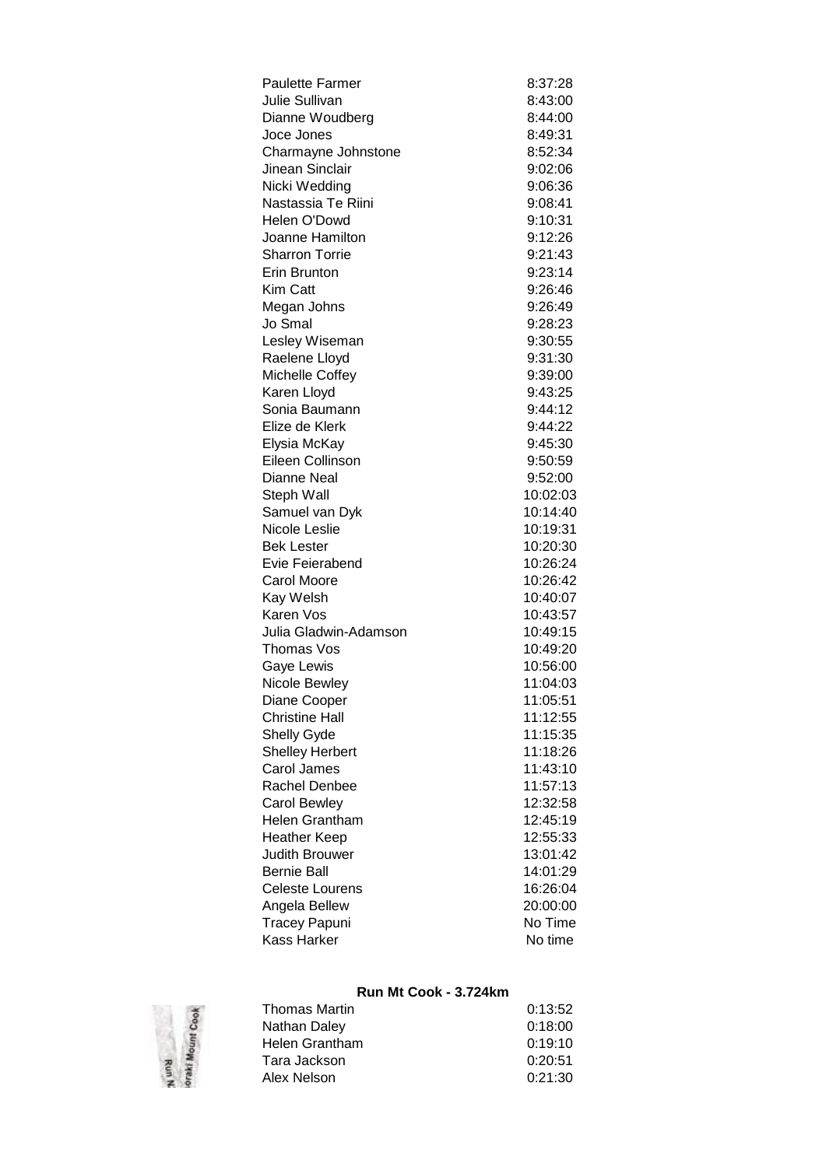| <b>Paulette Farmer</b> | 8:37:28              |
|------------------------|----------------------|
| <b>Julie Sullivan</b>  | 8:43:00              |
| Dianne Woudberg        | 8:44:00              |
| Joce Jones             | 8:49:31              |
| Charmayne Johnstone    | 8:52:34              |
| Jinean Sinclair        | 9:02:06              |
| Nicki Wedding          | 9:06:36              |
| Nastassia Te Riini     | 9:08:41              |
| Helen O'Dowd           | 9:10:31              |
| Joanne Hamilton        | 9:12:26              |
| <b>Sharron Torrie</b>  | 9:21:43              |
| Erin Brunton           | 9:23:14              |
| Kim Catt               | 9:26:46              |
| Megan Johns            | 9:26:49              |
| Jo Smal                | 9:28:23              |
| Lesley Wiseman         | 9:30:55              |
| Raelene Lloyd          | 9:31:30              |
| Michelle Coffey        | 9:39:00              |
| Karen Lloyd            | 9:43:25              |
| Sonia Baumann          | 9:44:12              |
| Elize de Klerk         | 9:44:22              |
| Elysia McKay           | 9:45:30              |
| Eileen Collinson       | 9:50:59              |
| Dianne Neal            | 9:52:00              |
| Steph Wall             | 10:02:03             |
| Samuel van Dyk         | 10:14:40             |
| Nicole Leslie          | 10:19:31             |
| <b>Bek Lester</b>      | 10:20:30             |
| Evie Feierabend        | 10:26:24             |
| <b>Carol Moore</b>     | 10:26:42             |
| Kay Welsh              | 10:40:07             |
| Karen Vos              |                      |
| Julia Gladwin-Adamson  | 10:43:57             |
| Thomas Vos             | 10:49:15             |
|                        | 10:49:20<br>10:56:00 |
| Gaye Lewis             |                      |
| Nicole Bewley          | 11:04:03             |
| Diane Cooper           | 11:05:51             |
| Christine Hall         | 11:12:55             |
| Shelly Gyde            | 11:15:35             |
| <b>Shelley Herbert</b> | 11:18:26             |
| Carol James            | 11:43:10             |
| <b>Rachel Denbee</b>   | 11:57:13             |
| <b>Carol Bewley</b>    | 12:32:58             |
| <b>Helen Grantham</b>  | 12:45:19             |
| <b>Heather Keep</b>    | 12:55:33             |
| <b>Judith Brouwer</b>  | 13:01:42             |
| <b>Bernie Ball</b>     | 14:01:29             |
| <b>Celeste Lourens</b> | 16:26:04             |
| Angela Bellew          | 20:00:00             |
| <b>Tracey Papuni</b>   | No Time              |
| Kass Harker            | No time              |

# **Run Mt Cook - 3.724km**

| <b>Thomas Martin</b> | 0:13:52 |
|----------------------|---------|
| Nathan Daley         | 0:18:00 |
| Helen Grantham       | 0:19:10 |
| Tara Jackson         | 0:20:51 |
| Alex Nelson          | 0:21:30 |
|                      |         |

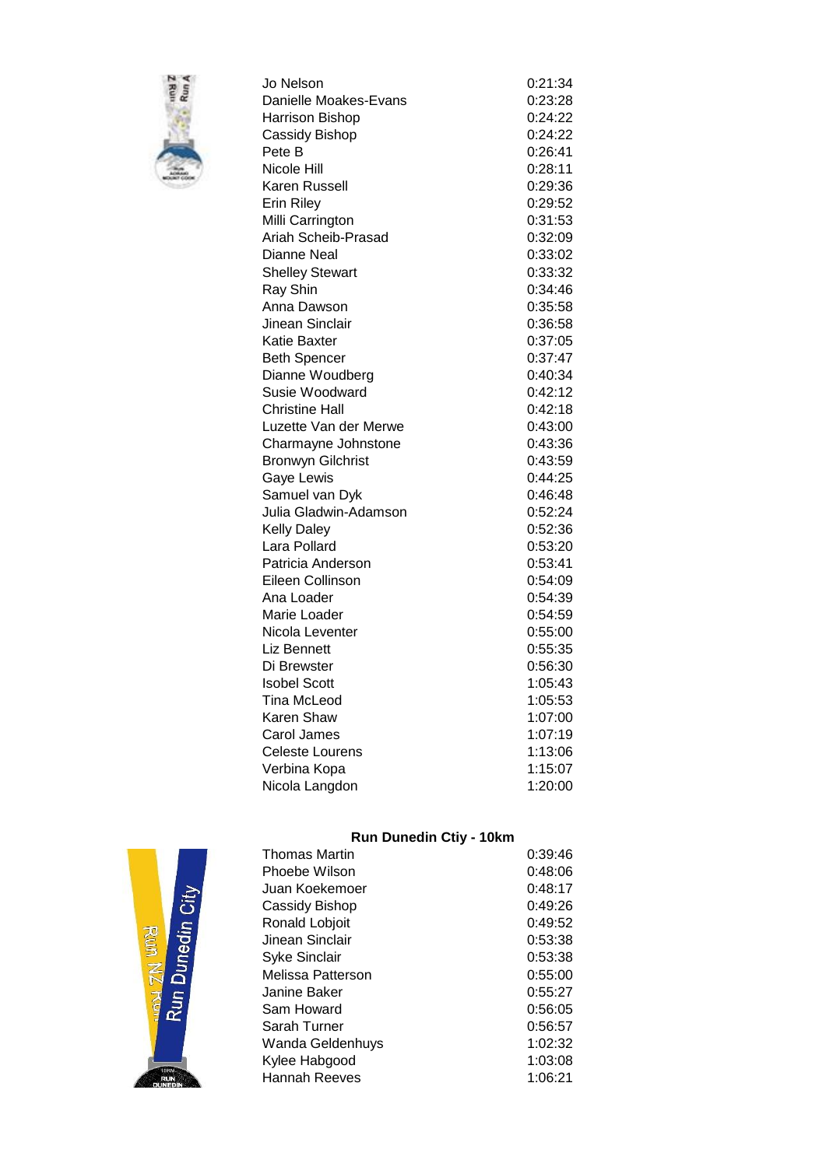

| Jo Nelson                | 0:21:34 |
|--------------------------|---------|
| Danielle Moakes-Evans    | 0:23:28 |
| Harrison Bishop          | 0:24:22 |
| Cassidy Bishop           | 0:24:22 |
| Pete B                   | 0:26:41 |
| Nicole Hill              | 0:28:11 |
| Karen Russell            | 0:29:36 |
| <b>Erin Riley</b>        | 0:29:52 |
| Milli Carrington         | 0:31:53 |
| Ariah Scheib-Prasad      | 0:32:09 |
| Dianne Neal              | 0:33:02 |
| <b>Shelley Stewart</b>   | 0:33:32 |
| Ray Shin                 | 0:34:46 |
| Anna Dawson              | 0:35:58 |
| Jinean Sinclair          | 0:36:58 |
| Katie Baxter             | 0:37:05 |
| <b>Beth Spencer</b>      | 0:37:47 |
| Dianne Woudberg          | 0:40:34 |
| Susie Woodward           | 0:42:12 |
| Christine Hall           | 0:42:18 |
| Luzette Van der Merwe    | 0:43:00 |
| Charmayne Johnstone      | 0:43:36 |
| <b>Bronwyn Gilchrist</b> | 0:43:59 |
| Gaye Lewis               | 0:44:25 |
| Samuel van Dyk           | 0:46:48 |
| Julia Gladwin-Adamson    | 0:52:24 |
| <b>Kelly Daley</b>       | 0:52:36 |
| Lara Pollard             | 0:53:20 |
| Patricia Anderson        | 0:53:41 |
| Eileen Collinson         | 0:54:09 |
| Ana Loader               | 0:54:39 |
| Marie Loader             | 0:54:59 |
| Nicola Leventer          | 0:55:00 |
| Liz Bennett              | 0:55:35 |
| Di Brewster              | 0:56:30 |
| <b>Isobel Scott</b>      | 1:05:43 |
| <b>Tina McLeod</b>       | 1:05:53 |
| Karen Shaw               | 1:07:00 |
| Carol James              | 1:07:19 |
| <b>Celeste Lourens</b>   | 1:13:06 |
| Verbina Kopa             | 1:15:07 |
| Nicola Langdon           | 1:20:00 |

### **Run Dunedin Ctiy - 10km**

| <b>Thomas Martin</b> | 0:39:46 |
|----------------------|---------|
| Phoebe Wilson        | 0:48:06 |
| Juan Koekemoer       | 0:48:17 |
| Cassidy Bishop       | 0:49:26 |
| Ronald Lobjoit       | 0:49:52 |
| Jinean Sinclair      | 0:53:38 |
| <b>Syke Sinclair</b> | 0:53:38 |
| Melissa Patterson    | 0:55:00 |
| Janine Baker         | 0:55:27 |
| Sam Howard           | 0:56:05 |
| Sarah Turner         | 0:56:57 |
| Wanda Geldenhuys     | 1:02:32 |
| Kylee Habgood        | 1:03:08 |
| Hannah Reeves        | 1:06:21 |

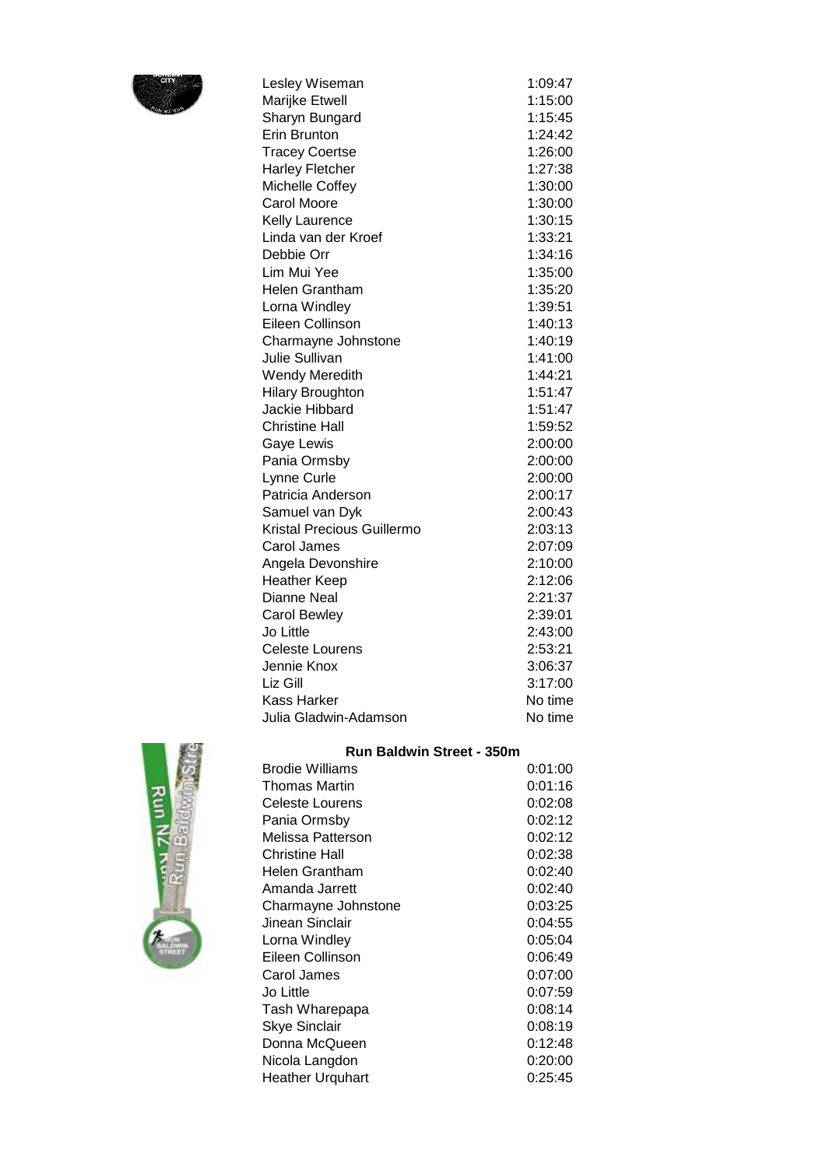

| Lesley Wiseman                    | 1:09:47 |
|-----------------------------------|---------|
| Marijke Etwell                    | 1:15:00 |
| Sharyn Bungard                    | 1:15:45 |
| <b>Erin Brunton</b>               | 1:24:42 |
| <b>Tracey Coertse</b>             | 1:26:00 |
| <b>Harley Fletcher</b>            | 1:27:38 |
| Michelle Coffey                   | 1:30:00 |
| <b>Carol Moore</b>                | 1:30:00 |
| <b>Kelly Laurence</b>             | 1:30:15 |
| Linda van der Kroef               | 1:33:21 |
| Debbie Orr                        | 1:34:16 |
| Lim Mui Yee                       | 1:35:00 |
| <b>Helen Grantham</b>             | 1:35:20 |
| Lorna Windley                     | 1:39:51 |
| Eileen Collinson                  | 1:40:13 |
| Charmayne Johnstone               | 1:40:19 |
| Julie Sullivan                    | 1:41:00 |
| <b>Wendy Meredith</b>             | 1:44:21 |
| <b>Hilary Broughton</b>           | 1:51:47 |
| Jackie Hibbard                    | 1:51:47 |
| <b>Christine Hall</b>             | 1:59:52 |
| Gaye Lewis                        | 2:00:00 |
| Pania Ormsby                      | 2:00:00 |
| Lynne Curle                       | 2:00:00 |
| Patricia Anderson                 | 2:00:17 |
| Samuel van Dyk                    | 2:00:43 |
| <b>Kristal Precious Guillermo</b> | 2:03:13 |
| Carol James                       | 2:07:09 |
| Angela Devonshire                 | 2:10:00 |
| <b>Heather Keep</b>               | 2:12:06 |
| <b>Dianne Neal</b>                | 2:21:37 |
| <b>Carol Bewley</b>               | 2:39:01 |
| Jo Little                         | 2:43:00 |
| <b>Celeste Lourens</b>            | 2:53:21 |
| Jennie Knox                       | 3:06:37 |
| Liz Gill                          | 3:17:00 |
| <b>Kass Harker</b>                | No time |
| Julia Gladwin-Adamson             | No time |



|  | <b>Run Baldwin Street - 350m</b> |  |  |  |
|--|----------------------------------|--|--|--|
|--|----------------------------------|--|--|--|

| Brodie Williams      | 0:01:00 |
|----------------------|---------|
| <b>Thomas Martin</b> | 0:01:16 |
| Celeste Lourens      | 0:02:08 |
| Pania Ormsby         | 0:02:12 |
| Melissa Patterson    | 0:02:12 |
| Christine Hall       | 0:02:38 |
| Helen Grantham       | 0:02:40 |
| Amanda Jarrett       | 0:02:40 |
| Charmayne Johnstone  | 0:03:25 |
| Jinean Sinclair      | 0:04:55 |
| Lorna Windley        | 0:05:04 |
| Eileen Collinson     | 0:06:49 |
| Carol James          | 0:07:00 |
| Jo Little            | 0:07:59 |
| Tash Wharepapa       | 0:08:14 |
| <b>Skye Sinclair</b> | 0:08:19 |
| Donna McQueen        | 0:12:48 |
| Nicola Langdon       | 0:20:00 |
| Heather Urquhart     | 0:25:45 |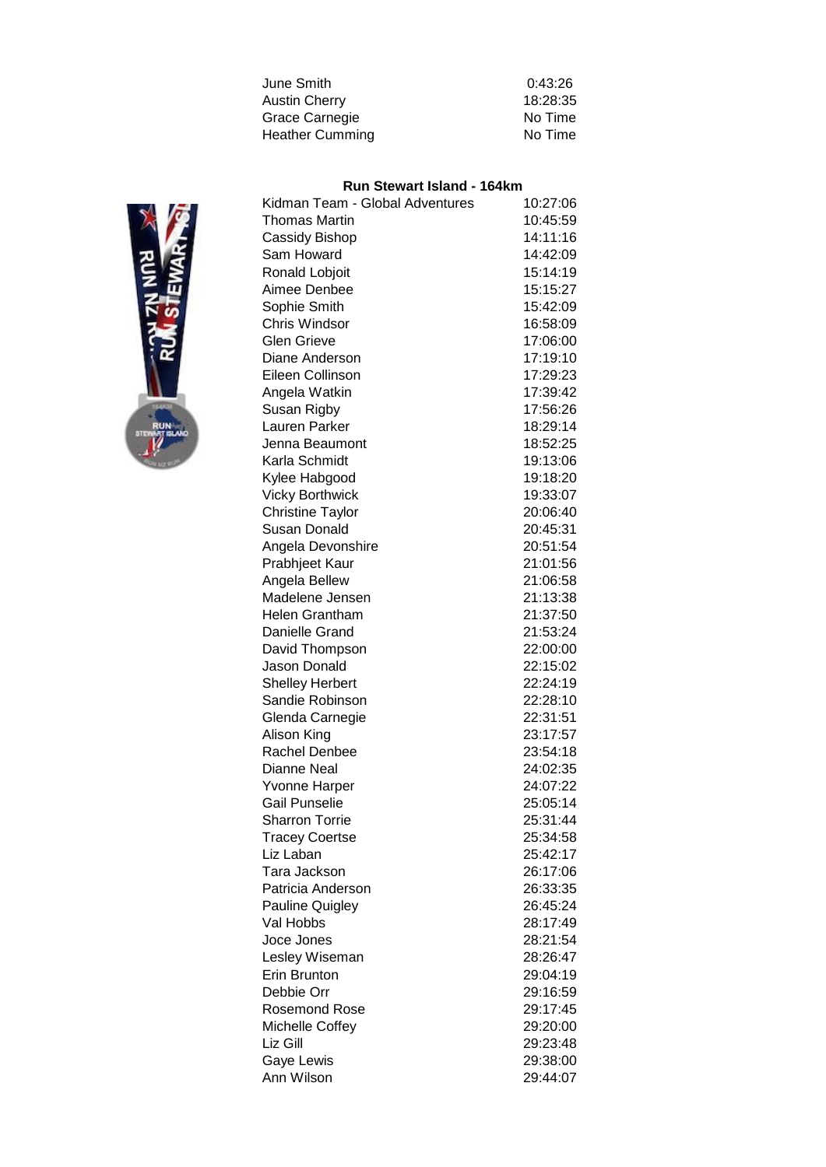| June Smith             | 0:43:26  |
|------------------------|----------|
| <b>Austin Cherry</b>   | 18:28:35 |
| Grace Carnegie         | No Time  |
| <b>Heather Cumming</b> | No Time  |
|                        |          |

# **Run Stewart Island - 164km**

| Kidman Team - Global Adventures | 10:27:06 |
|---------------------------------|----------|
| <b>Thomas Martin</b>            | 10:45:59 |
| Cassidy Bishop                  | 14:11:16 |
| Sam Howard                      | 14:42:09 |
| Ronald Lobjoit                  | 15:14:19 |
| Aimee Denbee                    | 15:15:27 |
| Sophie Smith                    | 15:42:09 |
| <b>Chris Windsor</b>            | 16:58:09 |
| <b>Glen Grieve</b>              | 17:06:00 |
| Diane Anderson                  | 17:19:10 |
| Eileen Collinson                | 17:29:23 |
| Angela Watkin                   | 17:39:42 |
| Susan Rigby                     | 17:56:26 |
| Lauren Parker                   | 18:29:14 |
| Jenna Beaumont                  | 18:52:25 |
| Karla Schmidt                   | 19:13:06 |
| Kylee Habgood                   | 19:18:20 |
| <b>Vicky Borthwick</b>          | 19:33:07 |
| <b>Christine Taylor</b>         | 20:06:40 |
| Susan Donald                    | 20:45:31 |
| Angela Devonshire               | 20:51:54 |
| Prabhjeet Kaur                  | 21:01:56 |
| Angela Bellew                   | 21:06:58 |
| Madelene Jensen                 | 21:13:38 |
| <b>Helen Grantham</b>           | 21:37:50 |
| Danielle Grand                  | 21:53:24 |
| David Thompson                  | 22:00:00 |
| Jason Donald                    | 22:15:02 |
| <b>Shelley Herbert</b>          | 22:24:19 |
| Sandie Robinson                 | 22:28:10 |
| Glenda Carnegie                 | 22:31:51 |
| Alison King                     | 23:17:57 |
| Rachel Denbee                   | 23:54:18 |
| Dianne Neal                     | 24:02:35 |
| <b>Yvonne Harper</b>            | 24:07:22 |
| <b>Gail Punselie</b>            | 25:05:14 |
| <b>Sharron Torrie</b>           | 25:31:44 |
| <b>Tracey Coertse</b>           | 25:34:58 |
| Liz Laban                       | 25:42:17 |
| Tara Jackson                    | 26:17:06 |
| Patricia Anderson               | 26:33:35 |
| Pauline Quigley                 | 26:45:24 |
| Val Hobbs                       | 28:17:49 |
| Joce Jones                      | 28:21:54 |
| Lesley Wiseman                  | 28:26:47 |
| Erin Brunton                    | 29:04:19 |
| Debbie Orr                      | 29:16:59 |
| <b>Rosemond Rose</b>            | 29:17:45 |
| Michelle Coffey                 | 29:20:00 |
| Liz Gill                        | 29:23:48 |
| Gaye Lewis                      | 29:38:00 |
| Ann Wilson                      | 29:44:07 |